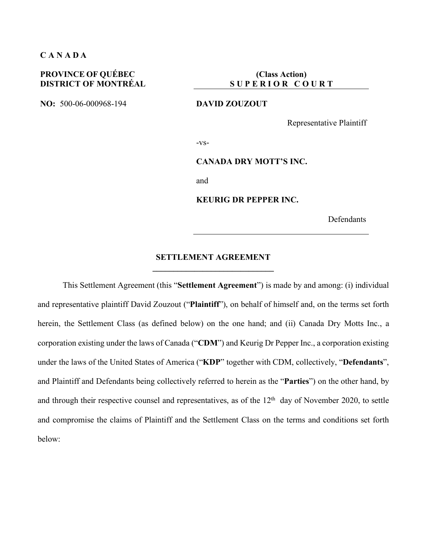#### **C A N A D A**

### **PROVINCE OF QUÉBEC DISTRICT OF MONTRÉAL**

**NO:** 500-06-000968-194 **DAVID ZOUZOUT**

**(Class Action) S U P E R I O R C O U R T** 

Representative Plaintiff

-vs-

#### **CANADA DRY MOTT'S INC.**

and

**KEURIG DR PEPPER INC.**

Defendants

#### **SETTLEMENT AGREEMENT \_\_\_\_\_\_\_\_\_\_\_\_\_\_\_\_\_\_\_\_\_\_\_\_\_\_\_\_\_**

This Settlement Agreement (this "**Settlement Agreement**") is made by and among: (i) individual and representative plaintiff David Zouzout ("**Plaintiff**"), on behalf of himself and, on the terms set forth herein, the Settlement Class (as defined below) on the one hand; and (ii) Canada Dry Motts Inc., a corporation existing under the laws of Canada ("**CDM**") and Keurig Dr Pepper Inc., a corporation existing under the laws of the United States of America ("**KDP**" together with CDM, collectively, "**Defendants**", and Plaintiff and Defendants being collectively referred to herein as the "**Parties**") on the other hand, by and through their respective counsel and representatives, as of the 12<sup>th</sup> day of November 2020, to settle and compromise the claims of Plaintiff and the Settlement Class on the terms and conditions set forth below: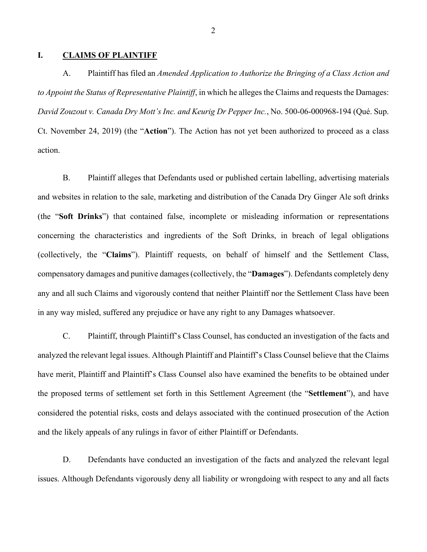#### **I. CLAIMS OF PLAINTIFF**

A. Plaintiff has filed an *Amended Application to Authorize the Bringing of a Class Action and to Appoint the Status of Representative Plaintiff*, in which he alleges the Claims and requests the Damages: *David Zouzout v. Canada Dry Mott's Inc. and Keurig Dr Pepper Inc.*, No. 500-06-000968-194 (Qué. Sup. Ct. November 24, 2019) (the "**Action**"). The Action has not yet been authorized to proceed as a class action.

B. Plaintiff alleges that Defendants used or published certain labelling, advertising materials and websites in relation to the sale, marketing and distribution of the Canada Dry Ginger Ale soft drinks (the "**Soft Drinks**") that contained false, incomplete or misleading information or representations concerning the characteristics and ingredients of the Soft Drinks, in breach of legal obligations (collectively, the "**Claims**"). Plaintiff requests, on behalf of himself and the Settlement Class, compensatory damages and punitive damages (collectively, the "**Damages**"). Defendants completely deny any and all such Claims and vigorously contend that neither Plaintiff nor the Settlement Class have been in any way misled, suffered any prejudice or have any right to any Damages whatsoever.

C. Plaintiff, through Plaintiff's Class Counsel, has conducted an investigation of the facts and analyzed the relevant legal issues. Although Plaintiff and Plaintiff's Class Counsel believe that the Claims have merit, Plaintiff and Plaintiff's Class Counsel also have examined the benefits to be obtained under the proposed terms of settlement set forth in this Settlement Agreement (the "**Settlement**"), and have considered the potential risks, costs and delays associated with the continued prosecution of the Action and the likely appeals of any rulings in favor of either Plaintiff or Defendants.

D. Defendants have conducted an investigation of the facts and analyzed the relevant legal issues. Although Defendants vigorously deny all liability or wrongdoing with respect to any and all facts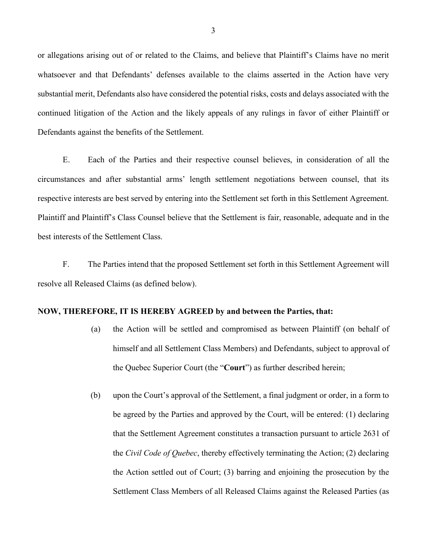or allegations arising out of or related to the Claims, and believe that Plaintiff's Claims have no merit whatsoever and that Defendants' defenses available to the claims asserted in the Action have very substantial merit, Defendants also have considered the potential risks, costs and delays associated with the continued litigation of the Action and the likely appeals of any rulings in favor of either Plaintiff or Defendants against the benefits of the Settlement.

E. Each of the Parties and their respective counsel believes, in consideration of all the circumstances and after substantial arms' length settlement negotiations between counsel, that its respective interests are best served by entering into the Settlement set forth in this Settlement Agreement. Plaintiff and Plaintiff's Class Counsel believe that the Settlement is fair, reasonable, adequate and in the best interests of the Settlement Class.

F. The Parties intend that the proposed Settlement set forth in this Settlement Agreement will resolve all Released Claims (as defined below).

#### **NOW, THEREFORE, IT IS HEREBY AGREED by and between the Parties, that:**

- (a) the Action will be settled and compromised as between Plaintiff (on behalf of himself and all Settlement Class Members) and Defendants, subject to approval of the Quebec Superior Court (the "**Court**") as further described herein;
- (b) upon the Court's approval of the Settlement, a final judgment or order, in a form to be agreed by the Parties and approved by the Court, will be entered: (1) declaring that the Settlement Agreement constitutes a transaction pursuant to article 2631 of the *Civil Code of Quebec*, thereby effectively terminating the Action; (2) declaring the Action settled out of Court; (3) barring and enjoining the prosecution by the Settlement Class Members of all Released Claims against the Released Parties (as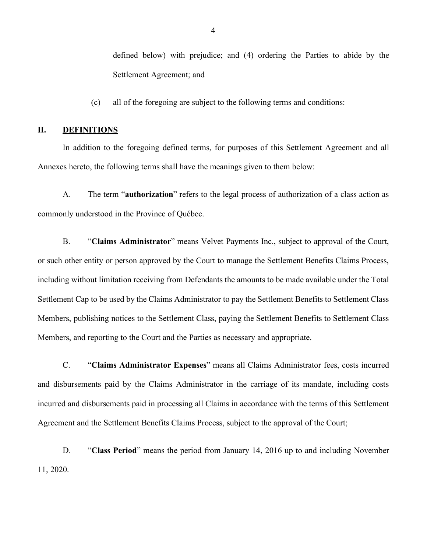defined below) with prejudice; and (4) ordering the Parties to abide by the Settlement Agreement; and

(c) all of the foregoing are subject to the following terms and conditions:

#### **II. DEFINITIONS**

In addition to the foregoing defined terms, for purposes of this Settlement Agreement and all Annexes hereto, the following terms shall have the meanings given to them below:

A. The term "**authorization**" refers to the legal process of authorization of a class action as commonly understood in the Province of Québec.

B. "**Claims Administrator**" means Velvet Payments Inc., subject to approval of the Court, or such other entity or person approved by the Court to manage the Settlement Benefits Claims Process, including without limitation receiving from Defendants the amounts to be made available under the Total Settlement Cap to be used by the Claims Administrator to pay the Settlement Benefits to Settlement Class Members, publishing notices to the Settlement Class, paying the Settlement Benefits to Settlement Class Members, and reporting to the Court and the Parties as necessary and appropriate.

C. "**Claims Administrator Expenses**" means all Claims Administrator fees, costs incurred and disbursements paid by the Claims Administrator in the carriage of its mandate, including costs incurred and disbursements paid in processing all Claims in accordance with the terms of this Settlement Agreement and the Settlement Benefits Claims Process, subject to the approval of the Court;

D. "**Class Period**" means the period from January 14, 2016 up to and including November 11, 2020.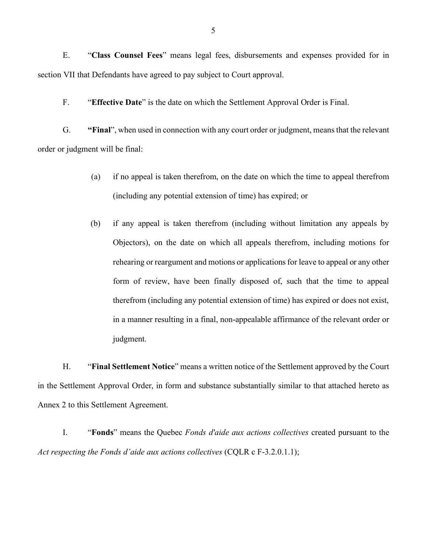E. "**Class Counsel Fees**" means legal fees, disbursements and expenses provided for in section VII that Defendants have agreed to pay subject to Court approval.

F. "**Effective Date**" is the date on which the Settlement Approval Order is Final.

G. **"Final**", when used in connection with any court order or judgment, means that the relevant order or judgment will be final:

- (a) if no appeal is taken therefrom, on the date on which the time to appeal therefrom (including any potential extension of time) has expired; or
- (b) if any appeal is taken therefrom (including without limitation any appeals by Objectors), on the date on which all appeals therefrom, including motions for rehearing or reargument and motions or applications for leave to appeal or any other form of review, have been finally disposed of, such that the time to appeal therefrom (including any potential extension of time) has expired or does not exist, in a manner resulting in a final, non-appealable affirmance of the relevant order or judgment.

H. "**Final Settlement Notice**" means a written notice of the Settlement approved by the Court in the Settlement Approval Order, in form and substance substantially similar to that attached hereto as Annex 2 to this Settlement Agreement.

I. "**Fonds**" means the Quebec *Fonds d'aide aux actions collectives* created pursuant to the *Act respecting the Fonds d'aide aux actions collectives* (CQLR c F-3.2.0.1.1);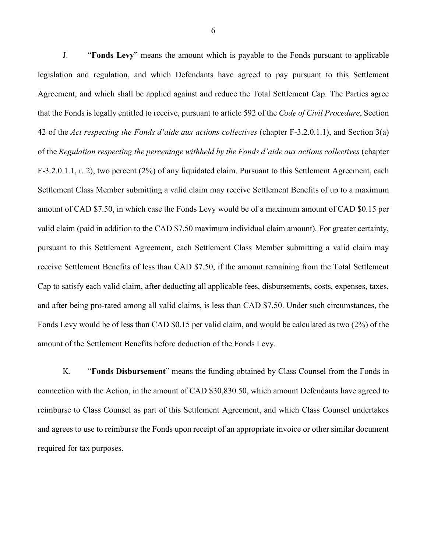J. "**Fonds Levy**" means the amount which is payable to the Fonds pursuant to applicable legislation and regulation, and which Defendants have agreed to pay pursuant to this Settlement Agreement, and which shall be applied against and reduce the Total Settlement Cap. The Parties agree that the Fonds is legally entitled to receive, pursuant to article 592 of the *Code of Civil Procedure*, Section 42 of the *Act respecting the Fonds d'aide aux actions collectives* (chapter F-3.2.0.1.1), and Section 3(a) of the *Regulation respecting the percentage withheld by the Fonds d'aide aux actions collectives* (chapter F-3.2.0.1.1, r. 2), two percent (2%) of any liquidated claim. Pursuant to this Settlement Agreement, each Settlement Class Member submitting a valid claim may receive Settlement Benefits of up to a maximum amount of CAD \$7.50, in which case the Fonds Levy would be of a maximum amount of CAD \$0.15 per valid claim (paid in addition to the CAD \$7.50 maximum individual claim amount). For greater certainty, pursuant to this Settlement Agreement, each Settlement Class Member submitting a valid claim may receive Settlement Benefits of less than CAD \$7.50, if the amount remaining from the Total Settlement Cap to satisfy each valid claim, after deducting all applicable fees, disbursements, costs, expenses, taxes, and after being pro-rated among all valid claims, is less than CAD \$7.50. Under such circumstances, the Fonds Levy would be of less than CAD \$0.15 per valid claim, and would be calculated as two (2%) of the amount of the Settlement Benefits before deduction of the Fonds Levy.

K. "**Fonds Disbursement**" means the funding obtained by Class Counsel from the Fonds in connection with the Action, in the amount of CAD \$30,830.50, which amount Defendants have agreed to reimburse to Class Counsel as part of this Settlement Agreement, and which Class Counsel undertakes and agrees to use to reimburse the Fonds upon receipt of an appropriate invoice or other similar document required for tax purposes.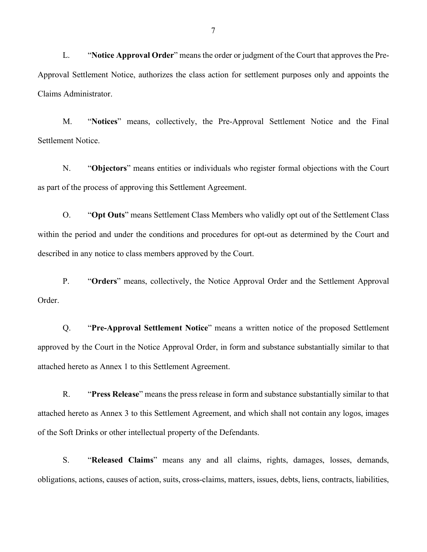L. "**Notice Approval Order**" means the order or judgment of the Court that approves the Pre-Approval Settlement Notice, authorizes the class action for settlement purposes only and appoints the Claims Administrator.

M. "**Notices**" means, collectively, the Pre-Approval Settlement Notice and the Final Settlement Notice.

N. "**Objectors**" means entities or individuals who register formal objections with the Court as part of the process of approving this Settlement Agreement.

O. "**Opt Outs**" means Settlement Class Members who validly opt out of the Settlement Class within the period and under the conditions and procedures for opt-out as determined by the Court and described in any notice to class members approved by the Court.

P. "**Orders**" means, collectively, the Notice Approval Order and the Settlement Approval Order.

Q. "**Pre-Approval Settlement Notice**" means a written notice of the proposed Settlement approved by the Court in the Notice Approval Order, in form and substance substantially similar to that attached hereto as Annex 1 to this Settlement Agreement.

R. "**Press Release**" means the press release in form and substance substantially similar to that attached hereto as Annex 3 to this Settlement Agreement, and which shall not contain any logos, images of the Soft Drinks or other intellectual property of the Defendants.

S. "**Released Claims**" means any and all claims, rights, damages, losses, demands, obligations, actions, causes of action, suits, cross-claims, matters, issues, debts, liens, contracts, liabilities,

7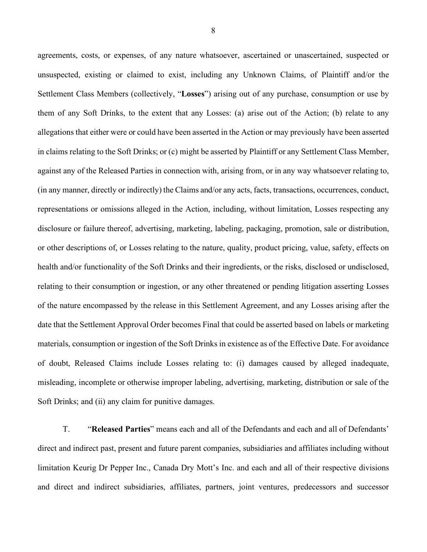agreements, costs, or expenses, of any nature whatsoever, ascertained or unascertained, suspected or unsuspected, existing or claimed to exist, including any Unknown Claims, of Plaintiff and/or the Settlement Class Members (collectively, "**Losses**") arising out of any purchase, consumption or use by them of any Soft Drinks, to the extent that any Losses: (a) arise out of the Action; (b) relate to any allegations that either were or could have been asserted in the Action or may previously have been asserted in claims relating to the Soft Drinks; or (c) might be asserted by Plaintiff or any Settlement Class Member, against any of the Released Parties in connection with, arising from, or in any way whatsoever relating to, (in any manner, directly or indirectly) the Claims and/or any acts, facts, transactions, occurrences, conduct, representations or omissions alleged in the Action, including, without limitation, Losses respecting any disclosure or failure thereof, advertising, marketing, labeling, packaging, promotion, sale or distribution, or other descriptions of, or Losses relating to the nature, quality, product pricing, value, safety, effects on health and/or functionality of the Soft Drinks and their ingredients, or the risks, disclosed or undisclosed, relating to their consumption or ingestion, or any other threatened or pending litigation asserting Losses of the nature encompassed by the release in this Settlement Agreement, and any Losses arising after the date that the Settlement Approval Order becomes Final that could be asserted based on labels or marketing materials, consumption or ingestion of the Soft Drinks in existence as of the Effective Date. For avoidance of doubt, Released Claims include Losses relating to: (i) damages caused by alleged inadequate, misleading, incomplete or otherwise improper labeling, advertising, marketing, distribution or sale of the Soft Drinks; and (ii) any claim for punitive damages.

T. "**Released Parties**" means each and all of the Defendants and each and all of Defendants' direct and indirect past, present and future parent companies, subsidiaries and affiliates including without limitation Keurig Dr Pepper Inc., Canada Dry Mott's Inc. and each and all of their respective divisions and direct and indirect subsidiaries, affiliates, partners, joint ventures, predecessors and successor

8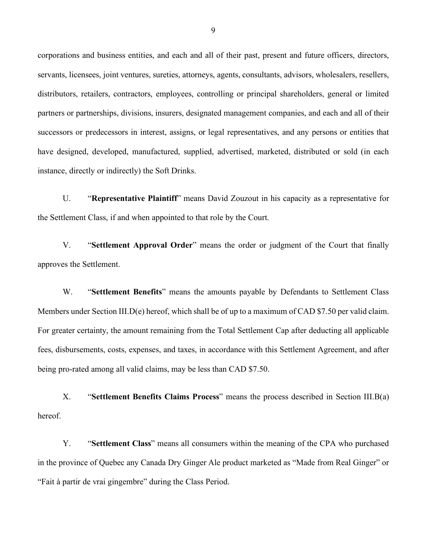corporations and business entities, and each and all of their past, present and future officers, directors, servants, licensees, joint ventures, sureties, attorneys, agents, consultants, advisors, wholesalers, resellers, distributors, retailers, contractors, employees, controlling or principal shareholders, general or limited partners or partnerships, divisions, insurers, designated management companies, and each and all of their successors or predecessors in interest, assigns, or legal representatives, and any persons or entities that have designed, developed, manufactured, supplied, advertised, marketed, distributed or sold (in each instance, directly or indirectly) the Soft Drinks.

U. "**Representative Plaintiff**" means David Zouzout in his capacity as a representative for the Settlement Class, if and when appointed to that role by the Court.

V. "**Settlement Approval Order**" means the order or judgment of the Court that finally approves the Settlement.

W. "**Settlement Benefits**" means the amounts payable by Defendants to Settlement Class Members under Section III.D(e) hereof, which shall be of up to a maximum of CAD \$7.50 per valid claim. For greater certainty, the amount remaining from the Total Settlement Cap after deducting all applicable fees, disbursements, costs, expenses, and taxes, in accordance with this Settlement Agreement, and after being pro-rated among all valid claims, may be less than CAD \$7.50.

X. "**Settlement Benefits Claims Process**" means the process described in Section III.B(a) hereof.

Y. "**Settlement Class**" means all consumers within the meaning of the CPA who purchased in the province of Quebec any Canada Dry Ginger Ale product marketed as "Made from Real Ginger" or "Fait à partir de vrai gingembre" during the Class Period.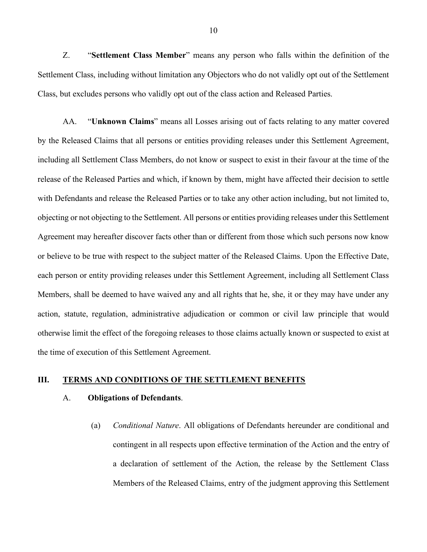Z. "**Settlement Class Member**" means any person who falls within the definition of the Settlement Class, including without limitation any Objectors who do not validly opt out of the Settlement Class, but excludes persons who validly opt out of the class action and Released Parties.

AA. "**Unknown Claims**" means all Losses arising out of facts relating to any matter covered by the Released Claims that all persons or entities providing releases under this Settlement Agreement, including all Settlement Class Members, do not know or suspect to exist in their favour at the time of the release of the Released Parties and which, if known by them, might have affected their decision to settle with Defendants and release the Released Parties or to take any other action including, but not limited to, objecting or not objecting to the Settlement. All persons or entities providing releases under this Settlement Agreement may hereafter discover facts other than or different from those which such persons now know or believe to be true with respect to the subject matter of the Released Claims. Upon the Effective Date, each person or entity providing releases under this Settlement Agreement, including all Settlement Class Members, shall be deemed to have waived any and all rights that he, she, it or they may have under any action, statute, regulation, administrative adjudication or common or civil law principle that would otherwise limit the effect of the foregoing releases to those claims actually known or suspected to exist at the time of execution of this Settlement Agreement.

#### **III. TERMS AND CONDITIONS OF THE SETTLEMENT BENEFITS**

#### A. **Obligations of Defendants**.

(a) *Conditional Nature*. All obligations of Defendants hereunder are conditional and contingent in all respects upon effective termination of the Action and the entry of a declaration of settlement of the Action, the release by the Settlement Class Members of the Released Claims, entry of the judgment approving this Settlement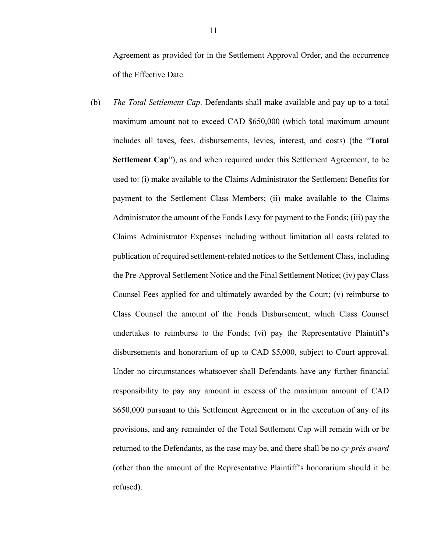Agreement as provided for in the Settlement Approval Order, and the occurrence of the Effective Date.

(b) *The Total Settlement Cap*. Defendants shall make available and pay up to a total maximum amount not to exceed CAD \$650,000 (which total maximum amount includes all taxes, fees, disbursements, levies, interest, and costs) (the "**Total Settlement Cap**"), as and when required under this Settlement Agreement, to be used to: (i) make available to the Claims Administrator the Settlement Benefits for payment to the Settlement Class Members; (ii) make available to the Claims Administrator the amount of the Fonds Levy for payment to the Fonds; (iii) pay the Claims Administrator Expenses including without limitation all costs related to publication of required settlement-related notices to the Settlement Class, including the Pre-Approval Settlement Notice and the Final Settlement Notice; (iv) pay Class Counsel Fees applied for and ultimately awarded by the Court; (v) reimburse to Class Counsel the amount of the Fonds Disbursement, which Class Counsel undertakes to reimburse to the Fonds; (vi) pay the Representative Plaintiff's disbursements and honorarium of up to CAD \$5,000, subject to Court approval. Under no circumstances whatsoever shall Defendants have any further financial responsibility to pay any amount in excess of the maximum amount of CAD \$650,000 pursuant to this Settlement Agreement or in the execution of any of its provisions, and any remainder of the Total Settlement Cap will remain with or be returned to the Defendants, as the case may be, and there shall be no *cy-près award* (other than the amount of the Representative Plaintiff's honorarium should it be refused).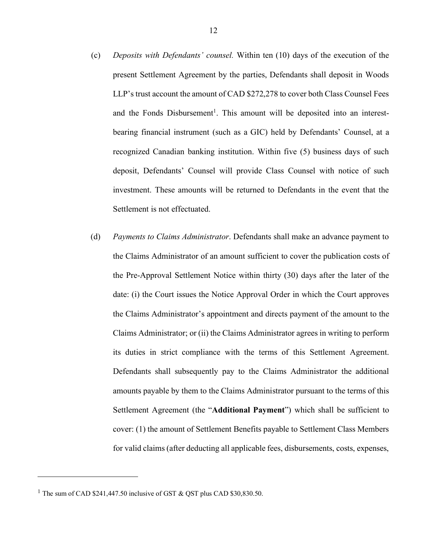- (c) *Deposits with Defendants' counsel.* Within ten (10) days of the execution of the present Settlement Agreement by the parties, Defendants shall deposit in Woods LLP's trust account the amount of CAD \$272,278 to cover both Class Counsel Fees and the Fonds Disbursement<sup>1</sup>. This amount will be deposited into an interestbearing financial instrument (such as a GIC) held by Defendants' Counsel, at a recognized Canadian banking institution. Within five (5) business days of such deposit, Defendants' Counsel will provide Class Counsel with notice of such investment. These amounts will be returned to Defendants in the event that the Settlement is not effectuated.
- (d) *Payments to Claims Administrator*. Defendants shall make an advance payment to the Claims Administrator of an amount sufficient to cover the publication costs of the Pre-Approval Settlement Notice within thirty (30) days after the later of the date: (i) the Court issues the Notice Approval Order in which the Court approves the Claims Administrator's appointment and directs payment of the amount to the Claims Administrator; or (ii) the Claims Administrator agrees in writing to perform its duties in strict compliance with the terms of this Settlement Agreement. Defendants shall subsequently pay to the Claims Administrator the additional amounts payable by them to the Claims Administrator pursuant to the terms of this Settlement Agreement (the "**Additional Payment**") which shall be sufficient to cover: (1) the amount of Settlement Benefits payable to Settlement Class Members for valid claims (after deducting all applicable fees, disbursements, costs, expenses,

 $\overline{\phantom{a}}$ 

<sup>&</sup>lt;sup>1</sup> The sum of CAD \$241,447.50 inclusive of GST  $\&$  QST plus CAD \$30,830.50.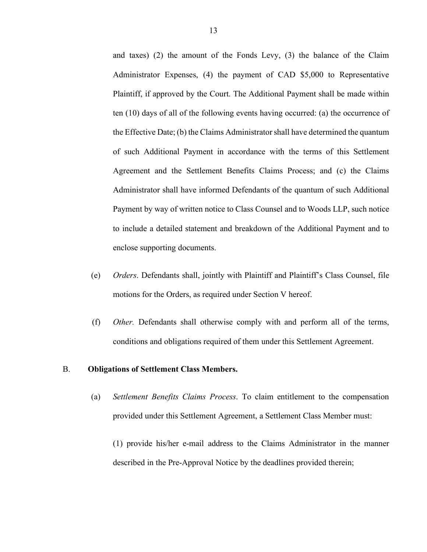- and taxes) (2) the amount of the Fonds Levy, (3) the balance of the Claim Administrator Expenses, (4) the payment of CAD \$5,000 to Representative Plaintiff, if approved by the Court. The Additional Payment shall be made within ten (10) days of all of the following events having occurred: (a) the occurrence of the Effective Date; (b) the Claims Administrator shall have determined the quantum of such Additional Payment in accordance with the terms of this Settlement Agreement and the Settlement Benefits Claims Process; and (c) the Claims Administrator shall have informed Defendants of the quantum of such Additional Payment by way of written notice to Class Counsel and to Woods LLP, such notice to include a detailed statement and breakdown of the Additional Payment and to enclose supporting documents.
- (e) *Orders*. Defendants shall, jointly with Plaintiff and Plaintiff's Class Counsel, file motions for the Orders, as required under Section V hereof.
- (f) *Other.* Defendants shall otherwise comply with and perform all of the terms, conditions and obligations required of them under this Settlement Agreement.

#### B. **Obligations of Settlement Class Members.**

- (a) *Settlement Benefits Claims Process*. To claim entitlement to the compensation provided under this Settlement Agreement, a Settlement Class Member must:
	- (1) provide his/her e-mail address to the Claims Administrator in the manner described in the Pre-Approval Notice by the deadlines provided therein;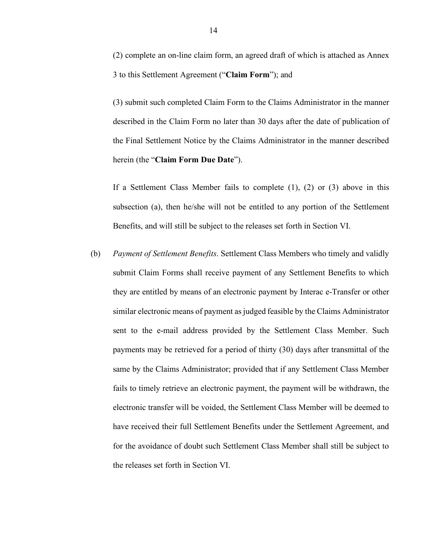(2) complete an on-line claim form, an agreed draft of which is attached as Annex 3 to this Settlement Agreement ("**Claim Form**"); and

(3) submit such completed Claim Form to the Claims Administrator in the manner described in the Claim Form no later than 30 days after the date of publication of the Final Settlement Notice by the Claims Administrator in the manner described herein (the "**Claim Form Due Date**").

If a Settlement Class Member fails to complete (1), (2) or (3) above in this subsection (a), then he/she will not be entitled to any portion of the Settlement Benefits, and will still be subject to the releases set forth in Section VI.

(b) *Payment of Settlement Benefits*. Settlement Class Members who timely and validly submit Claim Forms shall receive payment of any Settlement Benefits to which they are entitled by means of an electronic payment by Interac e-Transfer or other similar electronic means of payment as judged feasible by the Claims Administrator sent to the e-mail address provided by the Settlement Class Member. Such payments may be retrieved for a period of thirty (30) days after transmittal of the same by the Claims Administrator; provided that if any Settlement Class Member fails to timely retrieve an electronic payment, the payment will be withdrawn, the electronic transfer will be voided, the Settlement Class Member will be deemed to have received their full Settlement Benefits under the Settlement Agreement, and for the avoidance of doubt such Settlement Class Member shall still be subject to the releases set forth in Section VI.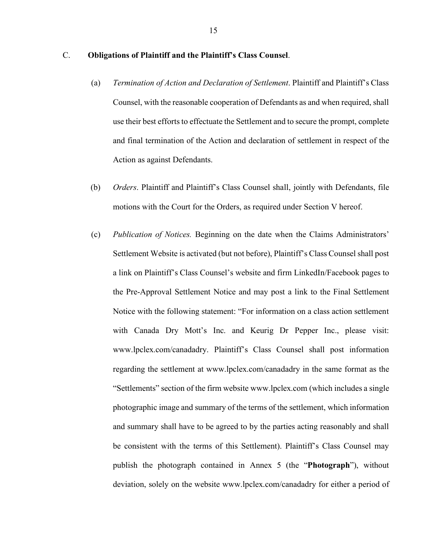### C. **Obligations of Plaintiff and the Plaintiff's Class Counsel**.

- (a) *Termination of Action and Declaration of Settlement*. Plaintiff and Plaintiff's Class Counsel, with the reasonable cooperation of Defendants as and when required, shall use their best efforts to effectuate the Settlement and to secure the prompt, complete and final termination of the Action and declaration of settlement in respect of the Action as against Defendants.
- (b) *Orders*. Plaintiff and Plaintiff's Class Counsel shall, jointly with Defendants, file motions with the Court for the Orders, as required under Section V hereof.
- (c) *Publication of Notices.* Beginning on the date when the Claims Administrators' Settlement Website is activated (but not before), Plaintiff's Class Counsel shall post a link on Plaintiff's Class Counsel's website and firm LinkedIn/Facebook pages to the Pre-Approval Settlement Notice and may post a link to the Final Settlement Notice with the following statement: "For information on a class action settlement with Canada Dry Mott's Inc. and Keurig Dr Pepper Inc., please visit: www.lpclex.com/canadadry. Plaintiff's Class Counsel shall post information regarding the settlement at www.lpclex.com/canadadry in the same format as the "Settlements" section of the firm website www.lpclex.com (which includes a single photographic image and summary of the terms of the settlement, which information and summary shall have to be agreed to by the parties acting reasonably and shall be consistent with the terms of this Settlement). Plaintiff's Class Counsel may publish the photograph contained in Annex 5 (the "**Photograph**"), without deviation, solely on the website www.lpclex.com/canadadry for either a period of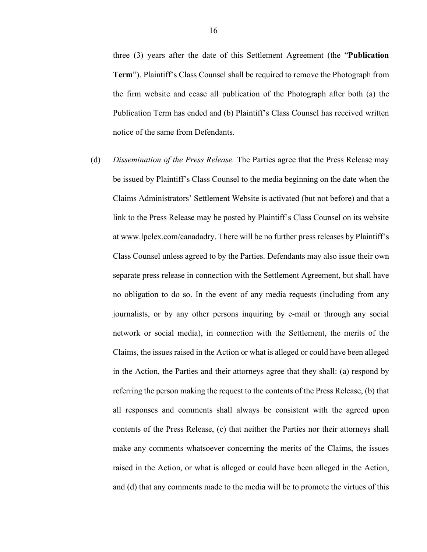three (3) years after the date of this Settlement Agreement (the "**Publication Term**"). Plaintiff's Class Counsel shall be required to remove the Photograph from the firm website and cease all publication of the Photograph after both (a) the Publication Term has ended and (b) Plaintiff's Class Counsel has received written notice of the same from Defendants.

(d) *Dissemination of the Press Release.* The Parties agree that the Press Release may be issued by Plaintiff's Class Counsel to the media beginning on the date when the Claims Administrators' Settlement Website is activated (but not before) and that a link to the Press Release may be posted by Plaintiff's Class Counsel on its website at www.lpclex.com/canadadry. There will be no further press releases by Plaintiff's Class Counsel unless agreed to by the Parties. Defendants may also issue their own separate press release in connection with the Settlement Agreement, but shall have no obligation to do so. In the event of any media requests (including from any journalists, or by any other persons inquiring by e-mail or through any social network or social media), in connection with the Settlement, the merits of the Claims, the issues raised in the Action or what is alleged or could have been alleged in the Action, the Parties and their attorneys agree that they shall: (a) respond by referring the person making the request to the contents of the Press Release, (b) that all responses and comments shall always be consistent with the agreed upon contents of the Press Release, (c) that neither the Parties nor their attorneys shall make any comments whatsoever concerning the merits of the Claims, the issues raised in the Action, or what is alleged or could have been alleged in the Action, and (d) that any comments made to the media will be to promote the virtues of this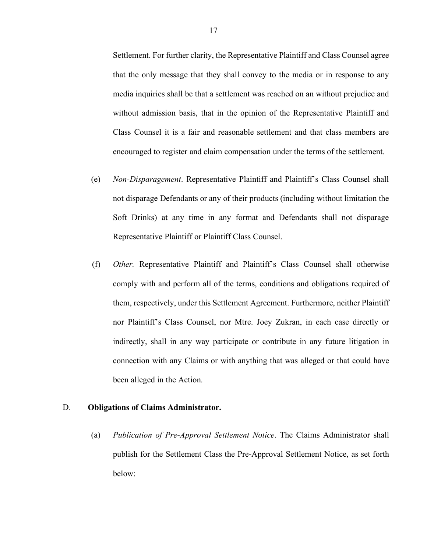Settlement. For further clarity, the Representative Plaintiff and Class Counsel agree that the only message that they shall convey to the media or in response to any media inquiries shall be that a settlement was reached on an without prejudice and without admission basis, that in the opinion of the Representative Plaintiff and Class Counsel it is a fair and reasonable settlement and that class members are encouraged to register and claim compensation under the terms of the settlement.

- (e) *Non-Disparagement*. Representative Plaintiff and Plaintiff's Class Counsel shall not disparage Defendants or any of their products (including without limitation the Soft Drinks) at any time in any format and Defendants shall not disparage Representative Plaintiff or Plaintiff Class Counsel.
- (f) *Other.* Representative Plaintiff and Plaintiff's Class Counsel shall otherwise comply with and perform all of the terms, conditions and obligations required of them, respectively, under this Settlement Agreement. Furthermore, neither Plaintiff nor Plaintiff's Class Counsel, nor Mtre. Joey Zukran, in each case directly or indirectly, shall in any way participate or contribute in any future litigation in connection with any Claims or with anything that was alleged or that could have been alleged in the Action.

#### D. **Obligations of Claims Administrator.**

(a) *Publication of Pre-Approval Settlement Notice*. The Claims Administrator shall publish for the Settlement Class the Pre-Approval Settlement Notice, as set forth below: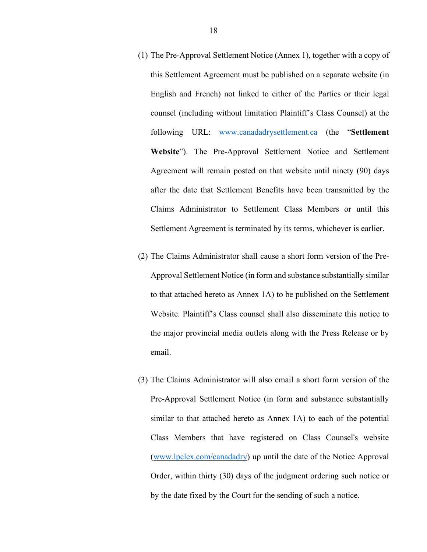- (1) The Pre-Approval Settlement Notice (Annex 1), together with a copy of this Settlement Agreement must be published on a separate website (in English and French) not linked to either of the Parties or their legal counsel (including without limitation Plaintiff's Class Counsel) at the following URL: www.canadadrysettlement.ca (the "**Settlement Website**"). The Pre-Approval Settlement Notice and Settlement Agreement will remain posted on that website until ninety (90) days after the date that Settlement Benefits have been transmitted by the Claims Administrator to Settlement Class Members or until this Settlement Agreement is terminated by its terms, whichever is earlier.
- (2) The Claims Administrator shall cause a short form version of the Pre-Approval Settlement Notice (in form and substance substantially similar to that attached hereto as Annex 1A) to be published on the Settlement Website. Plaintiff's Class counsel shall also disseminate this notice to the major provincial media outlets along with the Press Release or by email.
- (3) The Claims Administrator will also email a short form version of the Pre-Approval Settlement Notice (in form and substance substantially similar to that attached hereto as Annex 1A) to each of the potential Class Members that have registered on Class Counsel's website (www.lpclex.com/canadadry) up until the date of the Notice Approval Order, within thirty (30) days of the judgment ordering such notice or by the date fixed by the Court for the sending of such a notice.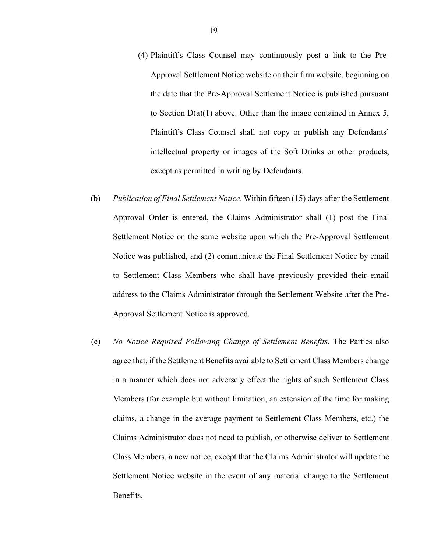- (4) Plaintiff's Class Counsel may continuously post a link to the Pre-Approval Settlement Notice website on their firm website, beginning on the date that the Pre-Approval Settlement Notice is published pursuant to Section D(a)(1) above. Other than the image contained in Annex 5, Plaintiff's Class Counsel shall not copy or publish any Defendants' intellectual property or images of the Soft Drinks or other products, except as permitted in writing by Defendants.
- (b) *Publication of Final Settlement Notice*. Within fifteen (15) days after the Settlement Approval Order is entered, the Claims Administrator shall (1) post the Final Settlement Notice on the same website upon which the Pre-Approval Settlement Notice was published, and (2) communicate the Final Settlement Notice by email to Settlement Class Members who shall have previously provided their email address to the Claims Administrator through the Settlement Website after the Pre-Approval Settlement Notice is approved.
- (c) *No Notice Required Following Change of Settlement Benefits*. The Parties also agree that, if the Settlement Benefits available to Settlement Class Members change in a manner which does not adversely effect the rights of such Settlement Class Members (for example but without limitation, an extension of the time for making claims, a change in the average payment to Settlement Class Members, etc.) the Claims Administrator does not need to publish, or otherwise deliver to Settlement Class Members, a new notice, except that the Claims Administrator will update the Settlement Notice website in the event of any material change to the Settlement Benefits.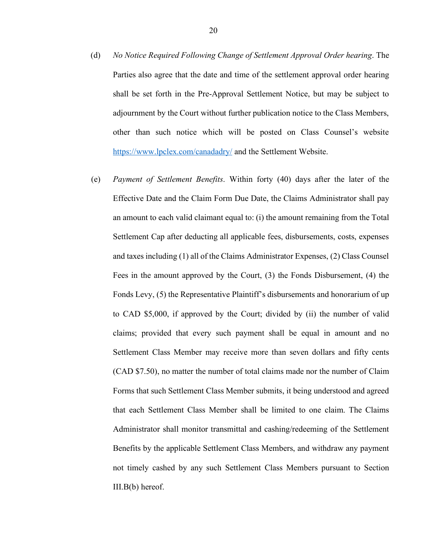- (d) *No Notice Required Following Change of Settlement Approval Order hearing*. The Parties also agree that the date and time of the settlement approval order hearing shall be set forth in the Pre-Approval Settlement Notice, but may be subject to adjournment by the Court without further publication notice to the Class Members, other than such notice which will be posted on Class Counsel's website https://www.lpclex.com/canadadry/ and the Settlement Website.
- (e) *Payment of Settlement Benefits*. Within forty (40) days after the later of the Effective Date and the Claim Form Due Date, the Claims Administrator shall pay an amount to each valid claimant equal to: (i) the amount remaining from the Total Settlement Cap after deducting all applicable fees, disbursements, costs, expenses and taxes including (1) all of the Claims Administrator Expenses, (2) Class Counsel Fees in the amount approved by the Court, (3) the Fonds Disbursement, (4) the Fonds Levy, (5) the Representative Plaintiff's disbursements and honorarium of up to CAD \$5,000, if approved by the Court; divided by (ii) the number of valid claims; provided that every such payment shall be equal in amount and no Settlement Class Member may receive more than seven dollars and fifty cents (CAD \$7.50), no matter the number of total claims made nor the number of Claim Forms that such Settlement Class Member submits, it being understood and agreed that each Settlement Class Member shall be limited to one claim. The Claims Administrator shall monitor transmittal and cashing/redeeming of the Settlement Benefits by the applicable Settlement Class Members, and withdraw any payment not timely cashed by any such Settlement Class Members pursuant to Section III.B(b) hereof.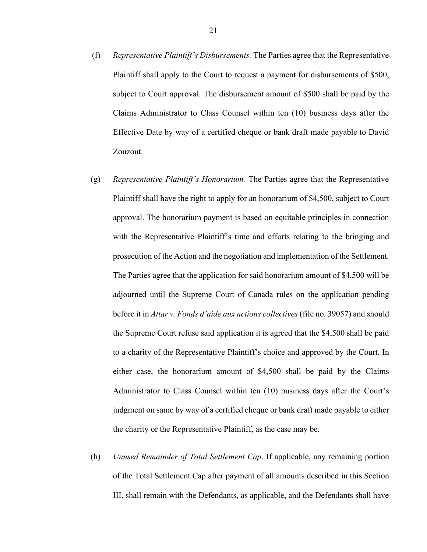- (f) *Representative Plaintiff's Disbursements.* The Parties agree that the Representative Plaintiff shall apply to the Court to request a payment for disbursements of \$500, subject to Court approval. The disbursement amount of \$500 shall be paid by the Claims Administrator to Class Counsel within ten (10) business days after the Effective Date by way of a certified cheque or bank draft made payable to David Zouzout.
- (g) *Representative Plaintiff's Honorarium.* The Parties agree that the Representative Plaintiff shall have the right to apply for an honorarium of \$4,500, subject to Court approval. The honorarium payment is based on equitable principles in connection with the Representative Plaintiff's time and efforts relating to the bringing and prosecution of the Action and the negotiation and implementation of the Settlement. The Parties agree that the application for said honorarium amount of \$4,500 will be adjourned until the Supreme Court of Canada rules on the application pending before it in *Attar v. Fonds d'aide aux actions collectives* (file no. 39057) and should the Supreme Court refuse said application it is agreed that the \$4,500 shall be paid to a charity of the Representative Plaintiff's choice and approved by the Court. In either case, the honorarium amount of \$4,500 shall be paid by the Claims Administrator to Class Counsel within ten (10) business days after the Court's judgment on same by way of a certified cheque or bank draft made payable to either the charity or the Representative Plaintiff, as the case may be.
- (h) *Unused Remainder of Total Settlement Cap*. If applicable, any remaining portion of the Total Settlement Cap after payment of all amounts described in this Section III, shall remain with the Defendants, as applicable, and the Defendants shall have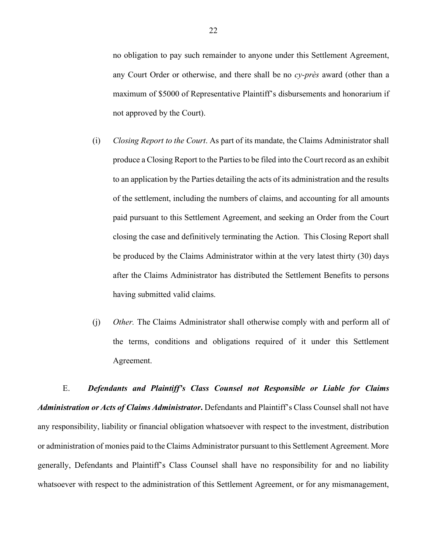no obligation to pay such remainder to anyone under this Settlement Agreement, any Court Order or otherwise, and there shall be no *cy-près* award (other than a maximum of \$5000 of Representative Plaintiff's disbursements and honorarium if not approved by the Court).

- (i) *Closing Report to the Court*. As part of its mandate, the Claims Administrator shall produce a Closing Report to the Parties to be filed into the Court record as an exhibit to an application by the Parties detailing the acts of its administration and the results of the settlement, including the numbers of claims, and accounting for all amounts paid pursuant to this Settlement Agreement, and seeking an Order from the Court closing the case and definitively terminating the Action. This Closing Report shall be produced by the Claims Administrator within at the very latest thirty (30) days after the Claims Administrator has distributed the Settlement Benefits to persons having submitted valid claims.
- (j) *Other.* The Claims Administrator shall otherwise comply with and perform all of the terms, conditions and obligations required of it under this Settlement Agreement.

E. *Defendants and Plaintiff's Class Counsel not Responsible or Liable for Claims Administration or Acts of Claims Administrator***.** Defendants and Plaintiff's Class Counsel shall not have any responsibility, liability or financial obligation whatsoever with respect to the investment, distribution or administration of monies paid to the Claims Administrator pursuant to this Settlement Agreement. More generally, Defendants and Plaintiff's Class Counsel shall have no responsibility for and no liability whatsoever with respect to the administration of this Settlement Agreement, or for any mismanagement,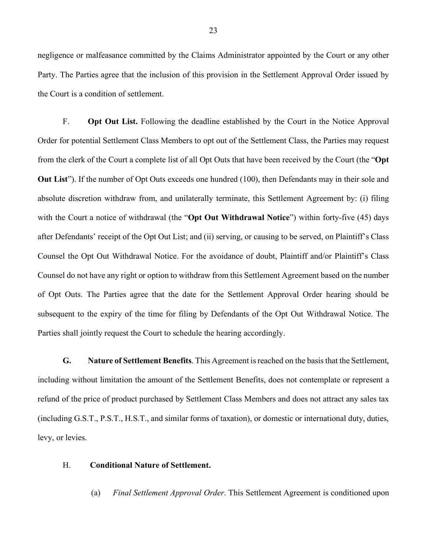negligence or malfeasance committed by the Claims Administrator appointed by the Court or any other Party. The Parties agree that the inclusion of this provision in the Settlement Approval Order issued by the Court is a condition of settlement.

F. **Opt Out List.** Following the deadline established by the Court in the Notice Approval Order for potential Settlement Class Members to opt out of the Settlement Class, the Parties may request from the clerk of the Court a complete list of all Opt Outs that have been received by the Court (the "**Opt Out List**"). If the number of Opt Outs exceeds one hundred (100), then Defendants may in their sole and absolute discretion withdraw from, and unilaterally terminate, this Settlement Agreement by: (i) filing with the Court a notice of withdrawal (the "**Opt Out Withdrawal Notice**") within forty-five (45) days after Defendants' receipt of the Opt Out List; and (ii) serving, or causing to be served, on Plaintiff's Class Counsel the Opt Out Withdrawal Notice. For the avoidance of doubt, Plaintiff and/or Plaintiff's Class Counsel do not have any right or option to withdraw from this Settlement Agreement based on the number of Opt Outs. The Parties agree that the date for the Settlement Approval Order hearing should be subsequent to the expiry of the time for filing by Defendants of the Opt Out Withdrawal Notice. The Parties shall jointly request the Court to schedule the hearing accordingly.

**G. Nature of Settlement Benefits**. This Agreement is reached on the basis that the Settlement, including without limitation the amount of the Settlement Benefits, does not contemplate or represent a refund of the price of product purchased by Settlement Class Members and does not attract any sales tax (including G.S.T., P.S.T., H.S.T., and similar forms of taxation), or domestic or international duty, duties, levy, or levies.

#### H. **Conditional Nature of Settlement.**

(a) *Final Settlement Approval Order*. This Settlement Agreement is conditioned upon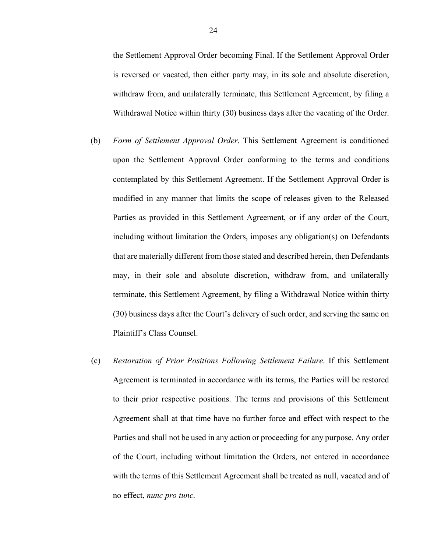the Settlement Approval Order becoming Final. If the Settlement Approval Order is reversed or vacated, then either party may, in its sole and absolute discretion, withdraw from, and unilaterally terminate, this Settlement Agreement, by filing a Withdrawal Notice within thirty (30) business days after the vacating of the Order.

- (b) *Form of Settlement Approval Order*. This Settlement Agreement is conditioned upon the Settlement Approval Order conforming to the terms and conditions contemplated by this Settlement Agreement. If the Settlement Approval Order is modified in any manner that limits the scope of releases given to the Released Parties as provided in this Settlement Agreement, or if any order of the Court, including without limitation the Orders, imposes any obligation(s) on Defendants that are materially different from those stated and described herein, then Defendants may, in their sole and absolute discretion, withdraw from, and unilaterally terminate, this Settlement Agreement, by filing a Withdrawal Notice within thirty (30) business days after the Court's delivery of such order, and serving the same on Plaintiff's Class Counsel.
- (c) *Restoration of Prior Positions Following Settlement Failure*. If this Settlement Agreement is terminated in accordance with its terms, the Parties will be restored to their prior respective positions. The terms and provisions of this Settlement Agreement shall at that time have no further force and effect with respect to the Parties and shall not be used in any action or proceeding for any purpose. Any order of the Court, including without limitation the Orders, not entered in accordance with the terms of this Settlement Agreement shall be treated as null, vacated and of no effect, *nunc pro tunc*.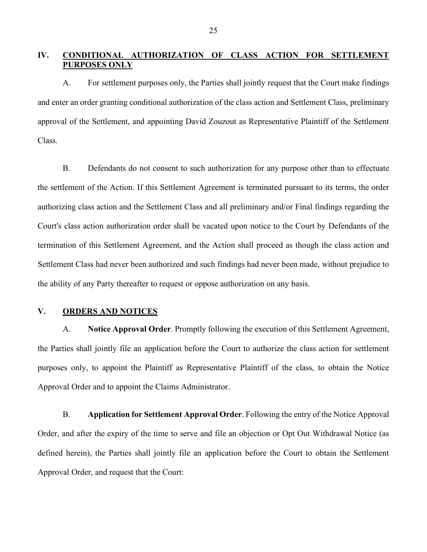### **IV. CONDITIONAL AUTHORIZATION OF CLASS ACTION FOR SETTLEMENT PURPOSES ONLY**

A. For settlement purposes only, the Parties shall jointly request that the Court make findings and enter an order granting conditional authorization of the class action and Settlement Class, preliminary approval of the Settlement, and appointing David Zouzout as Representative Plaintiff of the Settlement Class.

B. Defendants do not consent to such authorization for any purpose other than to effectuate the settlement of the Action. If this Settlement Agreement is terminated pursuant to its terms, the order authorizing class action and the Settlement Class and all preliminary and/or Final findings regarding the Court's class action authorization order shall be vacated upon notice to the Court by Defendants of the termination of this Settlement Agreement, and the Action shall proceed as though the class action and Settlement Class had never been authorized and such findings had never been made, without prejudice to the ability of any Party thereafter to request or oppose authorization on any basis.

#### **V. ORDERS AND NOTICES**

A. **Notice Approval Order**. Promptly following the execution of this Settlement Agreement, the Parties shall jointly file an application before the Court to authorize the class action for settlement purposes only, to appoint the Plaintiff as Representative Plaintiff of the class, to obtain the Notice Approval Order and to appoint the Claims Administrator.

B. **Application for Settlement Approval Order**. Following the entry of the Notice Approval Order, and after the expiry of the time to serve and file an objection or Opt Out Withdrawal Notice (as defined herein), the Parties shall jointly file an application before the Court to obtain the Settlement Approval Order, and request that the Court: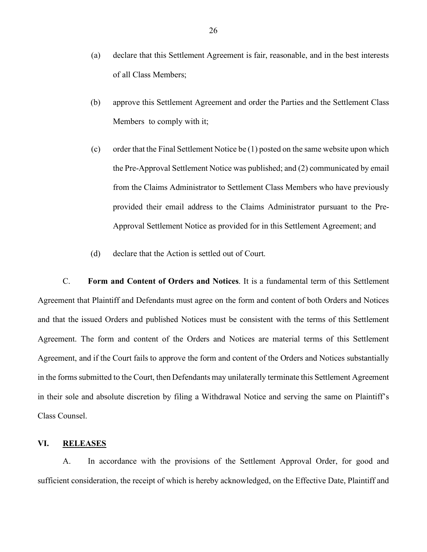- (a) declare that this Settlement Agreement is fair, reasonable, and in the best interests of all Class Members;
- (b) approve this Settlement Agreement and order the Parties and the Settlement Class Members to comply with it;
- (c) order that the Final Settlement Notice be (1) posted on the same website upon which the Pre-Approval Settlement Notice was published; and (2) communicated by email from the Claims Administrator to Settlement Class Members who have previously provided their email address to the Claims Administrator pursuant to the Pre-Approval Settlement Notice as provided for in this Settlement Agreement; and
- (d) declare that the Action is settled out of Court.

C. **Form and Content of Orders and Notices**. It is a fundamental term of this Settlement Agreement that Plaintiff and Defendants must agree on the form and content of both Orders and Notices and that the issued Orders and published Notices must be consistent with the terms of this Settlement Agreement. The form and content of the Orders and Notices are material terms of this Settlement Agreement, and if the Court fails to approve the form and content of the Orders and Notices substantially in the forms submitted to the Court, then Defendants may unilaterally terminate this Settlement Agreement in their sole and absolute discretion by filing a Withdrawal Notice and serving the same on Plaintiff's Class Counsel.

#### **VI. RELEASES**

A. In accordance with the provisions of the Settlement Approval Order, for good and sufficient consideration, the receipt of which is hereby acknowledged, on the Effective Date, Plaintiff and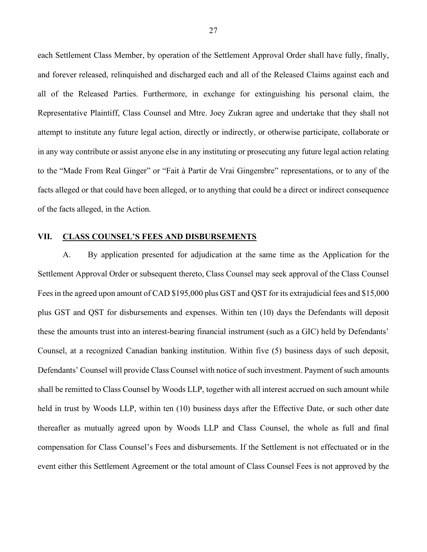each Settlement Class Member, by operation of the Settlement Approval Order shall have fully, finally, and forever released, relinquished and discharged each and all of the Released Claims against each and all of the Released Parties. Furthermore, in exchange for extinguishing his personal claim, the Representative Plaintiff, Class Counsel and Mtre. Joey Zukran agree and undertake that they shall not attempt to institute any future legal action, directly or indirectly, or otherwise participate, collaborate or in any way contribute or assist anyone else in any instituting or prosecuting any future legal action relating to the "Made From Real Ginger" or "Fait à Partir de Vrai Gingembre" representations, or to any of the facts alleged or that could have been alleged, or to anything that could be a direct or indirect consequence of the facts alleged, in the Action.

#### **VII. CLASS COUNSEL'S FEES AND DISBURSEMENTS**

A. By application presented for adjudication at the same time as the Application for the Settlement Approval Order or subsequent thereto, Class Counsel may seek approval of the Class Counsel Fees in the agreed upon amount of CAD \$195,000 plus GST and QST for its extrajudicial fees and \$15,000 plus GST and QST for disbursements and expenses. Within ten (10) days the Defendants will deposit these the amounts trust into an interest-bearing financial instrument (such as a GIC) held by Defendants' Counsel, at a recognized Canadian banking institution. Within five (5) business days of such deposit, Defendants' Counsel will provide Class Counsel with notice of such investment. Payment of such amounts shall be remitted to Class Counsel by Woods LLP, together with all interest accrued on such amount while held in trust by Woods LLP, within ten (10) business days after the Effective Date, or such other date thereafter as mutually agreed upon by Woods LLP and Class Counsel, the whole as full and final compensation for Class Counsel's Fees and disbursements. If the Settlement is not effectuated or in the event either this Settlement Agreement or the total amount of Class Counsel Fees is not approved by the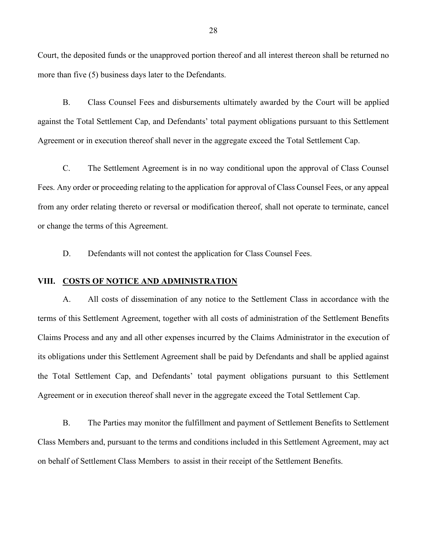Court, the deposited funds or the unapproved portion thereof and all interest thereon shall be returned no more than five (5) business days later to the Defendants.

B. Class Counsel Fees and disbursements ultimately awarded by the Court will be applied against the Total Settlement Cap, and Defendants' total payment obligations pursuant to this Settlement Agreement or in execution thereof shall never in the aggregate exceed the Total Settlement Cap.

C. The Settlement Agreement is in no way conditional upon the approval of Class Counsel Fees. Any order or proceeding relating to the application for approval of Class Counsel Fees, or any appeal from any order relating thereto or reversal or modification thereof, shall not operate to terminate, cancel or change the terms of this Agreement.

D. Defendants will not contest the application for Class Counsel Fees.

#### **VIII. COSTS OF NOTICE AND ADMINISTRATION**

A. All costs of dissemination of any notice to the Settlement Class in accordance with the terms of this Settlement Agreement, together with all costs of administration of the Settlement Benefits Claims Process and any and all other expenses incurred by the Claims Administrator in the execution of its obligations under this Settlement Agreement shall be paid by Defendants and shall be applied against the Total Settlement Cap, and Defendants' total payment obligations pursuant to this Settlement Agreement or in execution thereof shall never in the aggregate exceed the Total Settlement Cap.

B. The Parties may monitor the fulfillment and payment of Settlement Benefits to Settlement Class Members and, pursuant to the terms and conditions included in this Settlement Agreement, may act on behalf of Settlement Class Members to assist in their receipt of the Settlement Benefits.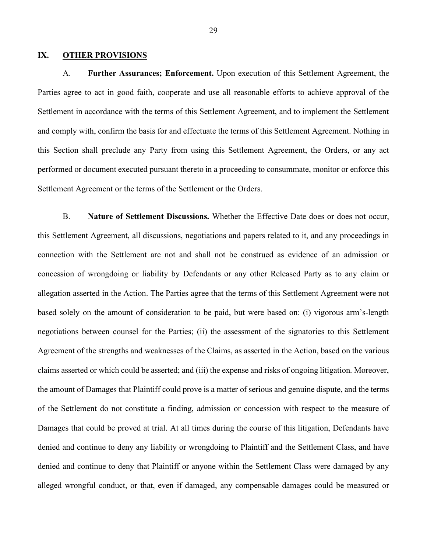#### **IX. OTHER PROVISIONS**

A. **Further Assurances; Enforcement.** Upon execution of this Settlement Agreement, the Parties agree to act in good faith, cooperate and use all reasonable efforts to achieve approval of the Settlement in accordance with the terms of this Settlement Agreement, and to implement the Settlement and comply with, confirm the basis for and effectuate the terms of this Settlement Agreement. Nothing in this Section shall preclude any Party from using this Settlement Agreement, the Orders, or any act performed or document executed pursuant thereto in a proceeding to consummate, monitor or enforce this Settlement Agreement or the terms of the Settlement or the Orders.

B. **Nature of Settlement Discussions.** Whether the Effective Date does or does not occur, this Settlement Agreement, all discussions, negotiations and papers related to it, and any proceedings in connection with the Settlement are not and shall not be construed as evidence of an admission or concession of wrongdoing or liability by Defendants or any other Released Party as to any claim or allegation asserted in the Action. The Parties agree that the terms of this Settlement Agreement were not based solely on the amount of consideration to be paid, but were based on: (i) vigorous arm's-length negotiations between counsel for the Parties; (ii) the assessment of the signatories to this Settlement Agreement of the strengths and weaknesses of the Claims, as asserted in the Action, based on the various claims asserted or which could be asserted; and (iii) the expense and risks of ongoing litigation. Moreover, the amount of Damages that Plaintiff could prove is a matter of serious and genuine dispute, and the terms of the Settlement do not constitute a finding, admission or concession with respect to the measure of Damages that could be proved at trial. At all times during the course of this litigation, Defendants have denied and continue to deny any liability or wrongdoing to Plaintiff and the Settlement Class, and have denied and continue to deny that Plaintiff or anyone within the Settlement Class were damaged by any alleged wrongful conduct, or that, even if damaged, any compensable damages could be measured or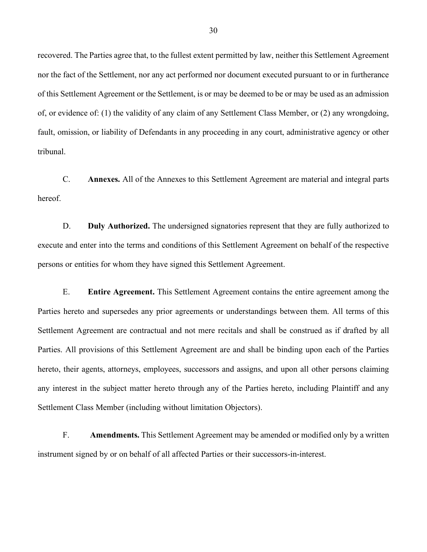recovered. The Parties agree that, to the fullest extent permitted by law, neither this Settlement Agreement nor the fact of the Settlement, nor any act performed nor document executed pursuant to or in furtherance of this Settlement Agreement or the Settlement, is or may be deemed to be or may be used as an admission of, or evidence of: (1) the validity of any claim of any Settlement Class Member, or (2) any wrongdoing, fault, omission, or liability of Defendants in any proceeding in any court, administrative agency or other tribunal.

C. **Annexes.** All of the Annexes to this Settlement Agreement are material and integral parts hereof.

D. **Duly Authorized.** The undersigned signatories represent that they are fully authorized to execute and enter into the terms and conditions of this Settlement Agreement on behalf of the respective persons or entities for whom they have signed this Settlement Agreement.

E. **Entire Agreement.** This Settlement Agreement contains the entire agreement among the Parties hereto and supersedes any prior agreements or understandings between them. All terms of this Settlement Agreement are contractual and not mere recitals and shall be construed as if drafted by all Parties. All provisions of this Settlement Agreement are and shall be binding upon each of the Parties hereto, their agents, attorneys, employees, successors and assigns, and upon all other persons claiming any interest in the subject matter hereto through any of the Parties hereto, including Plaintiff and any Settlement Class Member (including without limitation Objectors).

F. **Amendments.** This Settlement Agreement may be amended or modified only by a written instrument signed by or on behalf of all affected Parties or their successors-in-interest.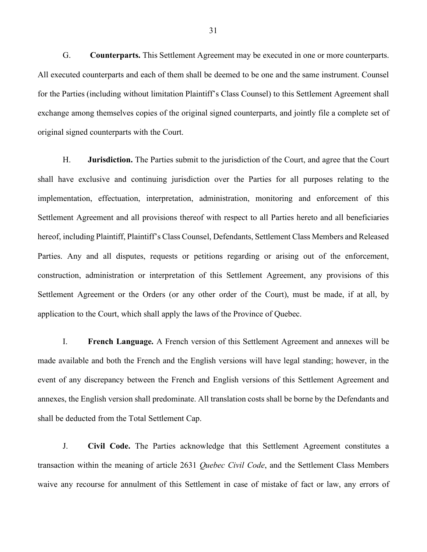G. **Counterparts.** This Settlement Agreement may be executed in one or more counterparts. All executed counterparts and each of them shall be deemed to be one and the same instrument. Counsel for the Parties (including without limitation Plaintiff's Class Counsel) to this Settlement Agreement shall exchange among themselves copies of the original signed counterparts, and jointly file a complete set of original signed counterparts with the Court.

H. **Jurisdiction.** The Parties submit to the jurisdiction of the Court, and agree that the Court shall have exclusive and continuing jurisdiction over the Parties for all purposes relating to the implementation, effectuation, interpretation, administration, monitoring and enforcement of this Settlement Agreement and all provisions thereof with respect to all Parties hereto and all beneficiaries hereof, including Plaintiff, Plaintiff's Class Counsel, Defendants, Settlement Class Members and Released Parties. Any and all disputes, requests or petitions regarding or arising out of the enforcement, construction, administration or interpretation of this Settlement Agreement, any provisions of this Settlement Agreement or the Orders (or any other order of the Court), must be made, if at all, by application to the Court, which shall apply the laws of the Province of Quebec.

I. **French Language.** A French version of this Settlement Agreement and annexes will be made available and both the French and the English versions will have legal standing; however, in the event of any discrepancy between the French and English versions of this Settlement Agreement and annexes, the English version shall predominate. All translation costs shall be borne by the Defendants and shall be deducted from the Total Settlement Cap.

J. **Civil Code.** The Parties acknowledge that this Settlement Agreement constitutes a transaction within the meaning of article 2631 *Quebec Civil Code*, and the Settlement Class Members waive any recourse for annulment of this Settlement in case of mistake of fact or law, any errors of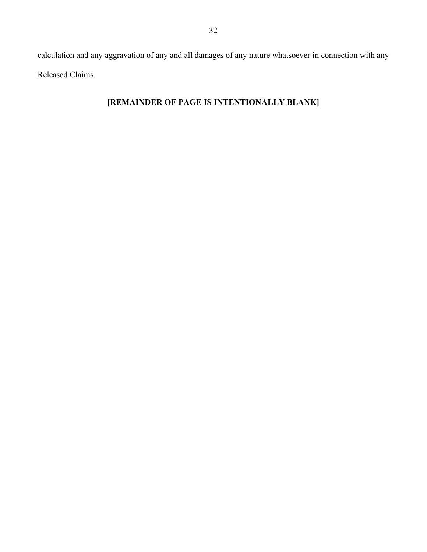calculation and any aggravation of any and all damages of any nature whatsoever in connection with any Released Claims.

### **[REMAINDER OF PAGE IS INTENTIONALLY BLANK]**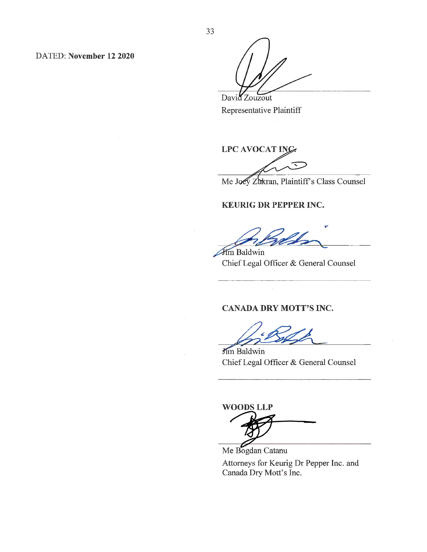DATED: November 12 2020

David Zouzout Representative Plaintiff

**LPC AVOCAT ING.** 

Me Joey Zukran, Plaintiff's Class Counsel

#### **KEURIG DR PEPPER INC.**

Jim Baldwin

Chief Legal Officer & General Counsel

### **CANADA DRY MOTT'S INC.**

Jim Baldwin Chief Legal Officer & General Counsel

**WOODS LLP** 

Me Bogdan Catanu Attorneys for Keurig Dr Pepper Inc. and Canada Dry Mott's Inc.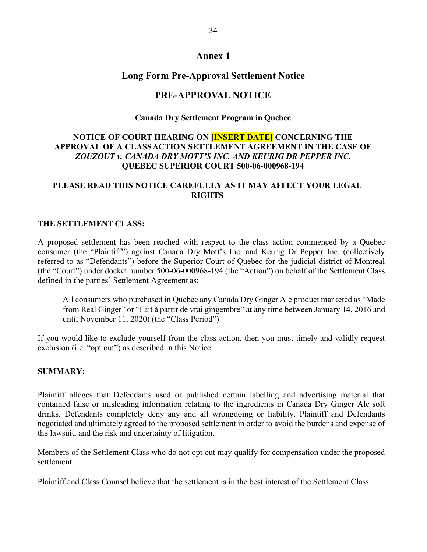### **Annex 1**

### **Long Form Pre-Approval Settlement Notice**

### **PRE-APPROVAL NOTICE**

### **Canada Dry Settlement Program in Quebec**

### **NOTICE OF COURT HEARING ON [INSERT DATE] CONCERNING THE APPROVAL OF A CLASSACTION SETTLEMENT AGREEMENT IN THE CASE OF**  *ZOUZOUT v. CANADA DRY MOTT'S INC. AND KEURIG DR PEPPER INC.* **QUEBEC SUPERIOR COURT 500-06-000968-194**

### **PLEASE READ THIS NOTICE CAREFULLY AS IT MAY AFFECT YOUR LEGAL RIGHTS**

#### **THE SETTLEMENT CLASS:**

A proposed settlement has been reached with respect to the class action commenced by a Quebec consumer (the "Plaintiff") against Canada Dry Mott's Inc. and Keurig Dr Pepper Inc. (collectively referred to as "Defendants") before the Superior Court of Quebec for the judicial district of Montreal (the "Court") under docket number 500-06-000968-194 (the "Action") on behalf of the Settlement Class defined in the parties' Settlement Agreement as:

All consumers who purchased in Quebec any Canada Dry Ginger Ale product marketed as "Made from Real Ginger" or "Fait à partir de vrai gingembre" at any time between January 14, 2016 and until November 11, 2020) (the "Class Period").

If you would like to exclude yourself from the class action, then you must timely and validly request exclusion (i.e. "opt out") as described in this Notice.

#### **SUMMARY:**

Plaintiff alleges that Defendants used or published certain labelling and advertising material that contained false or misleading information relating to the ingredients in Canada Dry Ginger Ale soft drinks. Defendants completely deny any and all wrongdoing or liability. Plaintiff and Defendants negotiated and ultimately agreed to the proposed settlement in order to avoid the burdens and expense of the lawsuit, and the risk and uncertainty of litigation.

Members of the Settlement Class who do not opt out may qualify for compensation under the proposed settlement.

Plaintiff and Class Counsel believe that the settlement is in the best interest of the Settlement Class.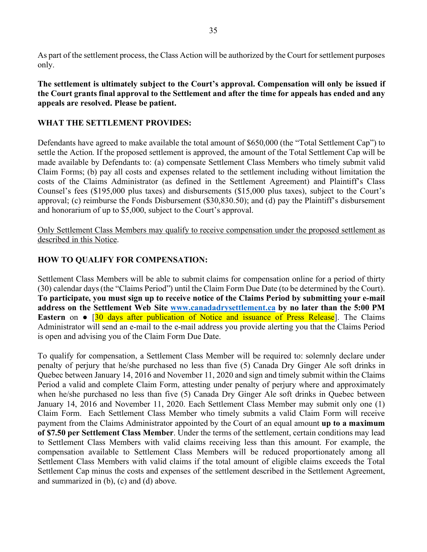As part of the settlement process, the Class Action will be authorized by the Court for settlement purposes only.

**The settlement is ultimately subject to the Court's approval. Compensation will only be issued if the Court grants final approval to the Settlement and after the time for appeals has ended and any appeals are resolved. Please be patient.**

### **WHAT THE SETTLEMENT PROVIDES:**

Defendants have agreed to make available the total amount of \$650,000 (the "Total Settlement Cap") to settle the Action. If the proposed settlement is approved, the amount of the Total Settlement Cap will be made available by Defendants to: (a) compensate Settlement Class Members who timely submit valid Claim Forms; (b) pay all costs and expenses related to the settlement including without limitation the costs of the Claims Administrator (as defined in the Settlement Agreement) and Plaintiff's Class Counsel's fees (\$195,000 plus taxes) and disbursements (\$15,000 plus taxes), subject to the Court's approval; (c) reimburse the Fonds Disbursement (\$30,830.50); and (d) pay the Plaintiff's disbursement and honorarium of up to \$5,000, subject to the Court's approval.

Only Settlement Class Members may qualify to receive compensation under the proposed settlement as described in this Notice.

### **HOW TO QUALIFY FOR COMPENSATION:**

Settlement Class Members will be able to submit claims for compensation online for a period of thirty (30) calendar days (the "Claims Period") until the Claim Form Due Date (to be determined by the Court). **To participate, you must sign up to receive notice of the Claims Period by submitting your e-mail address on the Settlement Web Site www.canadadrysettlement.ca by no later than the 5:00 PM Eastern** on ● [30 days after publication of Notice and issuance of Press Release]. The Claims Administrator will send an e-mail to the e-mail address you provide alerting you that the Claims Period is open and advising you of the Claim Form Due Date.

To qualify for compensation, a Settlement Class Member will be required to: solemnly declare under penalty of perjury that he/she purchased no less than five (5) Canada Dry Ginger Ale soft drinks in Quebec between January 14, 2016 and November 11, 2020 and sign and timely submit within the Claims Period a valid and complete Claim Form, attesting under penalty of perjury where and approximately when he/she purchased no less than five (5) Canada Dry Ginger Ale soft drinks in Quebec between January 14, 2016 and November 11, 2020. Each Settlement Class Member may submit only one (1) Claim Form. Each Settlement Class Member who timely submits a valid Claim Form will receive payment from the Claims Administrator appointed by the Court of an equal amount **up to a maximum of \$7.50 per Settlement Class Member**. Under the terms of the settlement, certain conditions may lead to Settlement Class Members with valid claims receiving less than this amount. For example, the compensation available to Settlement Class Members will be reduced proportionately among all Settlement Class Members with valid claims if the total amount of eligible claims exceeds the Total Settlement Cap minus the costs and expenses of the settlement described in the Settlement Agreement, and summarized in (b), (c) and (d) above.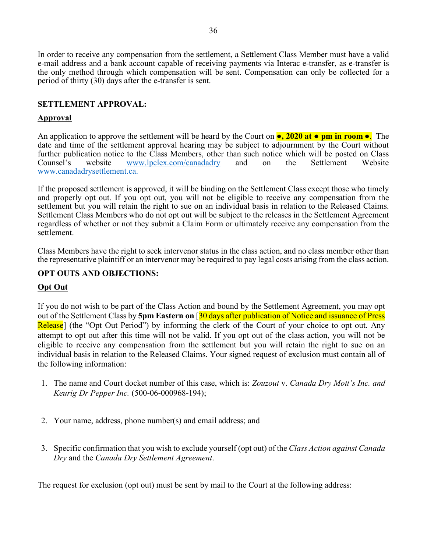In order to receive any compensation from the settlement, a Settlement Class Member must have a valid e-mail address and a bank account capable of receiving payments via Interac e-transfer, as e-transfer is the only method through which compensation will be sent. Compensation can only be collected for a period of thirty (30) days after the e-transfer is sent.

### **SETTLEMENT APPROVAL:**

### **Approval**

An application to approve the settlement will be heard by the Court on **●, 2020 at ● pm in room ●**. The date and time of the settlement approval hearing may be subject to adjournment by the Court without further publication notice to the Class Members, other than such notice which will be posted on Class Counsel's website www.lpclex.com/canadadry and on the Settlement Website www.canadadrysettlement.ca.

If the proposed settlement is approved, it will be binding on the Settlement Class except those who timely and properly opt out. If you opt out, you will not be eligible to receive any compensation from the settlement but you will retain the right to sue on an individual basis in relation to the Released Claims. Settlement Class Members who do not opt out will be subject to the releases in the Settlement Agreement regardless of whether or not they submit a Claim Form or ultimately receive any compensation from the settlement.

Class Members have the right to seek intervenor status in the class action, and no class member other than the representative plaintiff or an intervenor may be required to pay legal costs arising from the class action.

### **OPT OUTS AND OBJECTIONS:**

### **Opt Out**

If you do not wish to be part of the Class Action and bound by the Settlement Agreement, you may opt out of the Settlement Class by **5pm Eastern on** [30 days after publication of Notice and issuance of Press Release] (the "Opt Out Period") by informing the clerk of the Court of your choice to opt out. Any attempt to opt out after this time will not be valid. If you opt out of the class action, you will not be eligible to receive any compensation from the settlement but you will retain the right to sue on an individual basis in relation to the Released Claims. Your signed request of exclusion must contain all of the following information:

- 1. The name and Court docket number of this case, which is: *Zouzout* v. *Canada Dry Mott's Inc. and Keurig Dr Pepper Inc.* (500-06-000968-194);
- 2. Your name, address, phone number(s) and email address; and
- 3. Specific confirmation that you wish to exclude yourself (opt out) of the *Class Action against Canada Dry* and the *Canada Dry Settlement Agreement*.

The request for exclusion (opt out) must be sent by mail to the Court at the following address: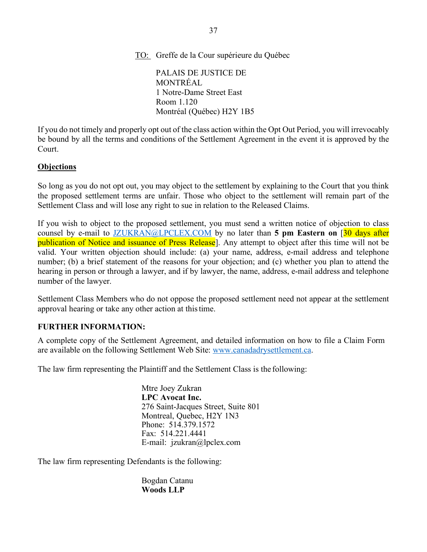TO: Greffe de la Cour supérieure du Québec

PALAIS DE JUSTICE DE MONTRÉAL 1 Notre-Dame Street East Room 1.120 Montréal (Québec) H2Y 1B5

If you do not timely and properly opt out of the class action within the Opt Out Period, you will irrevocably be bound by all the terms and conditions of the Settlement Agreement in the event it is approved by the Court.

### **Objections**

So long as you do not opt out, you may object to the settlement by explaining to the Court that you think the proposed settlement terms are unfair. Those who object to the settlement will remain part of the Settlement Class and will lose any right to sue in relation to the Released Claims.

If you wish to object to the proposed settlement, you must send a written notice of objection to class counsel by e-mail to JZUKRAN@LPCLEX.COM by no later than **5 pm Eastern on** [30 days after publication of Notice and issuance of Press Release]. Any attempt to object after this time will not be valid. Your written objection should include: (a) your name, address, e-mail address and telephone number; (b) a brief statement of the reasons for your objection; and (c) whether you plan to attend the hearing in person or through a lawyer, and if by lawyer, the name, address, e-mail address and telephone number of the lawyer.

Settlement Class Members who do not oppose the proposed settlement need not appear at the settlement approval hearing or take any other action at thistime.

### **FURTHER INFORMATION:**

A complete copy of the Settlement Agreement, and detailed information on how to file a Claim Form are available on the following Settlement Web Site: www.canadadrysettlement.ca.

The law firm representing the Plaintiff and the Settlement Class is the following:

Mtre Joey Zukran **LPC Avocat Inc.** 276 Saint-Jacques Street, Suite 801 Montreal, Quebec, H2Y 1N3 Phone: 514.379.1572 Fax: 514.221.4441 E-mail: jzukran@lpclex.com

The law firm representing Defendants is the following:

Bogdan Catanu **Woods LLP**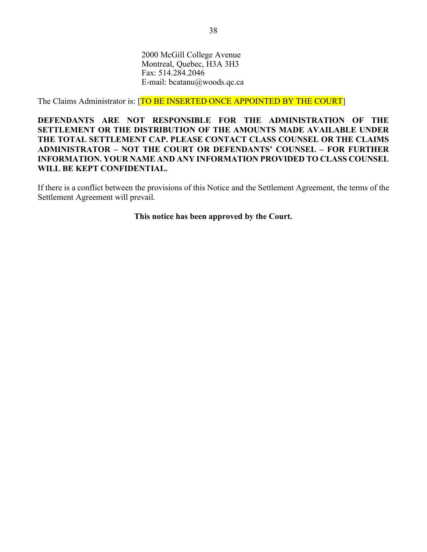2000 McGill College Avenue Montreal, Quebec, H3A 3H3 Fax: 514.284.2046 E-mail: bcatanu@woods.qc.ca

The Claims Administrator is: [TO BE INSERTED ONCE APPOINTED BY THE COURT]

**DEFENDANTS ARE NOT RESPONSIBLE FOR THE ADMINISTRATION OF THE SETTLEMENT OR THE DISTRIBUTION OF THE AMOUNTS MADE AVAILABLE UNDER THE TOTAL SETTLEMENT CAP. PLEASE CONTACT CLASS COUNSEL OR THE CLAIMS ADMINISTRATOR – NOT THE COURT OR DEFENDANTS' COUNSEL – FOR FURTHER INFORMATION. YOUR NAME AND ANY INFORMATION PROVIDED TO CLASS COUNSEL WILL BE KEPT CONFIDENTIAL.**

If there is a conflict between the provisions of this Notice and the Settlement Agreement, the terms of the Settlement Agreement will prevail.

**This notice has been approved by the Court.**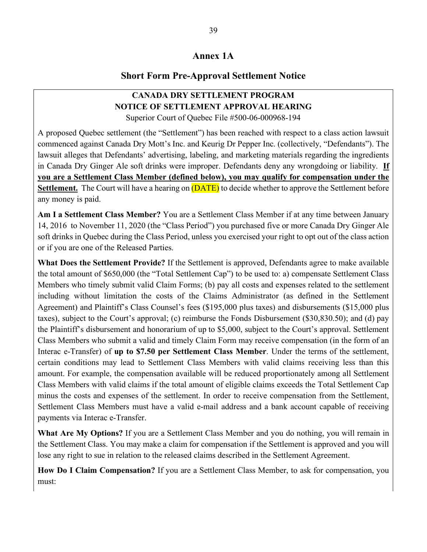### **Annex 1A**

### **Short Form Pre-Approval Settlement Notice**

### **CANADA DRY SETTLEMENT PROGRAM NOTICE OF SETTLEMENT APPROVAL HEARING** Superior Court of Quebec File #500-06-000968-194

A proposed Quebec settlement (the "Settlement") has been reached with respect to a class action lawsuit commenced against Canada Dry Mott's Inc. and Keurig Dr Pepper Inc. (collectively, "Defendants"). The lawsuit alleges that Defendants' advertising, labeling, and marketing materials regarding the ingredients in Canada Dry Ginger Ale soft drinks were improper. Defendants deny any wrongdoing or liability. **If you are a Settlement Class Member (defined below), you may qualify for compensation under the Settlement.** The Court will have a hearing on **(DATE)** to decide whether to approve the Settlement before any money is paid.

**Am I a Settlement Class Member?** You are a Settlement Class Member if at any time between January 14, 2016 to November 11, 2020 (the "Class Period") you purchased five or more Canada Dry Ginger Ale soft drinks in Quebec during the Class Period, unless you exercised your right to opt out of the class action or if you are one of the Released Parties.

**What Does the Settlement Provide?** If the Settlement is approved, Defendants agree to make available the total amount of \$650,000 (the "Total Settlement Cap") to be used to: a) compensate Settlement Class Members who timely submit valid Claim Forms; (b) pay all costs and expenses related to the settlement including without limitation the costs of the Claims Administrator (as defined in the Settlement Agreement) and Plaintiff's Class Counsel's fees (\$195,000 plus taxes) and disbursements (\$15,000 plus taxes), subject to the Court's approval; (c) reimburse the Fonds Disbursement (\$30,830.50); and (d) pay the Plaintiff's disbursement and honorarium of up to \$5,000, subject to the Court's approval. Settlement Class Members who submit a valid and timely Claim Form may receive compensation (in the form of an Interac e-Transfer) of **up to \$7.50 per Settlement Class Member**. Under the terms of the settlement, certain conditions may lead to Settlement Class Members with valid claims receiving less than this amount. For example, the compensation available will be reduced proportionately among all Settlement Class Members with valid claims if the total amount of eligible claims exceeds the Total Settlement Cap minus the costs and expenses of the settlement. In order to receive compensation from the Settlement, Settlement Class Members must have a valid e-mail address and a bank account capable of receiving payments via Interac e-Transfer.

**What Are My Options?** If you are a Settlement Class Member and you do nothing, you will remain in the Settlement Class. You may make a claim for compensation if the Settlement is approved and you will lose any right to sue in relation to the released claims described in the Settlement Agreement.

**How Do I Claim Compensation?** If you are a Settlement Class Member, to ask for compensation, you must: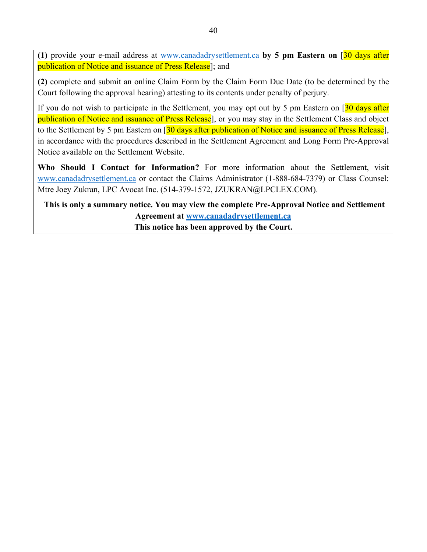**(1)** provide your e-mail address at www.canadadrysettlement.ca **by 5 pm Eastern on** [30 days after publication of Notice and issuance of Press Release]; and

**(2)** complete and submit an online Claim Form by the Claim Form Due Date (to be determined by the Court following the approval hearing) attesting to its contents under penalty of perjury.

If you do not wish to participate in the Settlement, you may opt out by 5 pm Eastern on  $\sqrt{30}$  days after publication of Notice and issuance of Press Release], or you may stay in the Settlement Class and object to the Settlement by 5 pm Eastern on [30 days after publication of Notice and issuance of Press Release], in accordance with the procedures described in the Settlement Agreement and Long Form Pre-Approval Notice available on the Settlement Website.

**Who Should I Contact for Information?** For more information about the Settlement, visit www.canadadrysettlement.ca or contact the Claims Administrator (1-888-684-7379) or Class Counsel: Mtre Joey Zukran, LPC Avocat Inc. (514-379-1572, JZUKRAN@LPCLEX.COM).

**This is only a summary notice. You may view the complete Pre-Approval Notice and Settlement Agreement at www.canadadrysettlement.ca This notice has been approved by the Court.**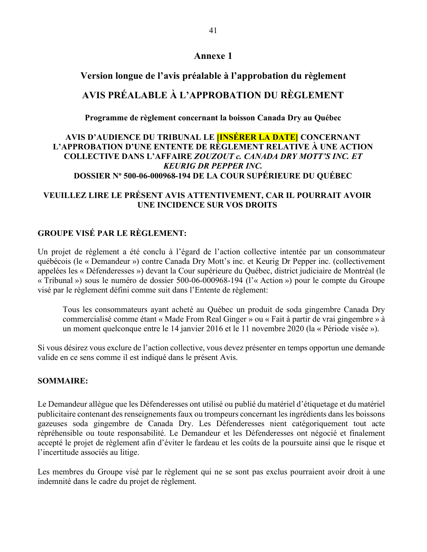### **Annexe 1**

### **Version longue de l'avis préalable à l'approbation du règlement**

### **AVIS PRÉALABLE À L'APPROBATION DU RÈGLEMENT**

**Programme de règlement concernant la boisson Canada Dry au Québec**

### **AVIS D'AUDIENCE DU TRIBUNAL LE [INSÉRER LA DATE] CONCERNANT L'APPROBATION D'UNE ENTENTE DE RÈGLEMENT RELATIVE À UNE ACTION COLLECTIVE DANS L'AFFAIRE** *ZOUZOUT c. CANADA DRY MOTT'S INC. ET KEURIG DR PEPPER INC.* **DOSSIER No 500-06-000968-194 DE LA COUR SUPÉRIEURE DU QUÉBEC**

### **VEUILLEZ LIRE LE PRÉSENT AVIS ATTENTIVEMENT, CAR IL POURRAIT AVOIR UNE INCIDENCE SUR VOS DROITS**

### **GROUPE VISÉ PAR LE RÈGLEMENT:**

Un projet de règlement a été conclu à l'égard de l'action collective intentée par un consommateur québécois (le « Demandeur ») contre Canada Dry Mott's inc. et Keurig Dr Pepper inc. (collectivement appelées les « Défenderesses ») devant la Cour supérieure du Québec, district judiciaire de Montréal (le « Tribunal ») sous le numéro de dossier 500-06-000968-194 (l'« Action ») pour le compte du Groupe visé par le règlement défini comme suit dans l'Entente de règlement:

Tous les consommateurs ayant acheté au Québec un produit de soda gingembre Canada Dry commercialisé comme étant « Made From Real Ginger » ou « Fait à partir de vrai gingembre » à un moment quelconque entre le 14 janvier 2016 et le 11 novembre 2020 (la « Période visée »).

Si vous désirez vous exclure de l'action collective, vous devez présenter en temps opportun une demande valide en ce sens comme il est indiqué dans le présent Avis.

### **SOMMAIRE:**

Le Demandeur allègue que les Défenderesses ont utilisé ou publié du matériel d'étiquetage et du matériel publicitaire contenant des renseignements faux ou trompeurs concernant les ingrédients dans les boissons gazeuses soda gingembre de Canada Dry. Les Défenderesses nient catégoriquement tout acte répréhensible ou toute responsabilité. Le Demandeur et les Défenderesses ont négocié et finalement accepté le projet de règlement afin d'éviter le fardeau et les coûts de la poursuite ainsi que le risque et l'incertitude associés au litige.

Les membres du Groupe visé par le règlement qui ne se sont pas exclus pourraient avoir droit à une indemnité dans le cadre du projet de règlement.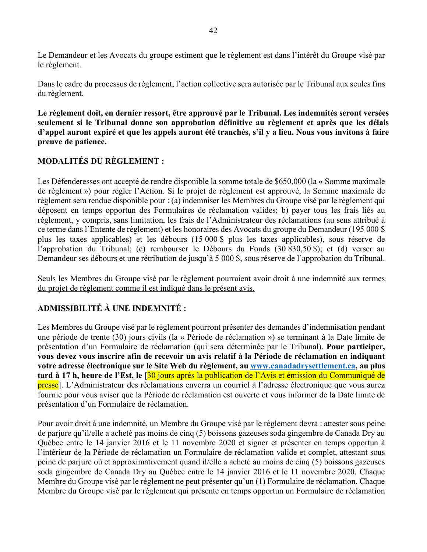Le Demandeur et les Avocats du groupe estiment que le règlement est dans l'intérêt du Groupe visé par le règlement.

Dans le cadre du processus de règlement, l'action collective sera autorisée par le Tribunal aux seules fins du règlement.

**Le règlement doit, en dernier ressort, être approuvé par le Tribunal. Les indemnités seront versées seulement si le Tribunal donne son approbation définitive au règlement et après que les délais d'appel auront expiré et que les appels auront été tranchés, s'il y a lieu. Nous vous invitons à faire preuve de patience.**

### **MODALITÉS DU RÈGLEMENT :**

Les Défenderesses ont accepté de rendre disponible la somme totale de \$650,000 (la « Somme maximale de règlement ») pour régler l'Action. Si le projet de règlement est approuvé, la Somme maximale de règlement sera rendue disponible pour : (a) indemniser les Membres du Groupe visé par le règlement qui déposent en temps opportun des Formulaires de réclamation valides; b) payer tous les frais liés au règlement, y compris, sans limitation, les frais de l'Administrateur des réclamations (au sens attribué à ce terme dans l'Entente de règlement) et les honoraires des Avocats du groupe du Demandeur (195 000 \$ plus les taxes applicables) et les débours (15 000 \$ plus les taxes applicables), sous réserve de l'approbation du Tribunal; (c) rembourser le Débours du Fonds (30 830,50 \$); et (d) verser au Demandeur ses débours et une rétribution de jusqu'à 5 000 \$, sous réserve de l'approbation du Tribunal.

Seuls les Membres du Groupe visé par le règlement pourraient avoir droit à une indemnité aux termes du projet de règlement comme il est indiqué dans le présent avis.

### **ADMISSIBILITÉ À UNE INDEMNITÉ :**

Les Membres du Groupe visé par le règlement pourront présenter des demandes d'indemnisation pendant une période de trente (30) jours civils (la « Période de réclamation ») se terminant à la Date limite de présentation d'un Formulaire de réclamation (qui sera déterminée par le Tribunal). **Pour participer, vous devez vous inscrire afin de recevoir un avis relatif à la Période de réclamation en indiquant votre adresse électronique sur le Site Web du règlement, au www.canadadrysettlement.ca, au plus tard à 17 h, heure de l'Est, le** [30 jours après la publication de l'Avis et émission du Communiqué de presse]. L'Administrateur des réclamations enverra un courriel à l'adresse électronique que vous aurez fournie pour vous aviser que la Période de réclamation est ouverte et vous informer de la Date limite de présentation d'un Formulaire de réclamation.

Pour avoir droit à une indemnité, un Membre du Groupe visé par le règlement devra : attester sous peine de parjure qu'il/elle a acheté pas moins de cinq (5) boissons gazeuses soda gingembre de Canada Dry au Québec entre le 14 janvier 2016 et le 11 novembre 2020 et signer et présenter en temps opportun à l'intérieur de la Période de réclamation un Formulaire de réclamation valide et complet, attestant sous peine de parjure où et approximativement quand il/elle a acheté au moins de cinq (5) boissons gazeuses soda gingembre de Canada Dry au Québec entre le 14 janvier 2016 et le 11 novembre 2020. Chaque Membre du Groupe visé par le règlement ne peut présenter qu'un (1) Formulaire de réclamation. Chaque Membre du Groupe visé par le règlement qui présente en temps opportun un Formulaire de réclamation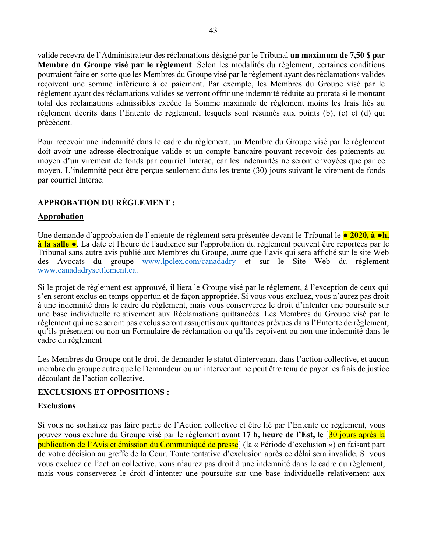valide recevra de l'Administrateur des réclamations désigné par le Tribunal **un maximum de 7,50 \$ par Membre du Groupe visé par le règlement**. Selon les modalités du règlement, certaines conditions pourraient faire en sorte que les Membres du Groupe visé par le règlement ayant des réclamations valides reçoivent une somme inférieure à ce paiement. Par exemple, les Membres du Groupe visé par le règlement ayant des réclamations valides se verront offrir une indemnité réduite au prorata si le montant total des réclamations admissibles excède la Somme maximale de règlement moins les frais liés au règlement décrits dans l'Entente de règlement, lesquels sont résumés aux points (b), (c) et (d) qui précèdent.

Pour recevoir une indemnité dans le cadre du règlement, un Membre du Groupe visé par le règlement doit avoir une adresse électronique valide et un compte bancaire pouvant recevoir des paiements au moyen d'un virement de fonds par courriel Interac, car les indemnités ne seront envoyées que par ce moyen. L'indemnité peut être perçue seulement dans les trente (30) jours suivant le virement de fonds par courriel Interac.

### **APPROBATION DU RÈGLEMENT :**

### **Approbation**

Une demande d'approbation de l'entente de règlement sera présentée devant le Tribunal le **● 2020, à ●h, à la salle ●**. La date et l'heure de l'audience sur l'approbation du règlement peuvent être reportées par le Tribunal sans autre avis publié aux Membres du Groupe, autre que l'avis qui sera affiché sur le site Web des Avocats du groupe www.lpclex.com/canadadry et sur le Site Web du règlement www.canadadrysettlement.ca.

Si le projet de règlement est approuvé, il liera le Groupe visé par le règlement, à l'exception de ceux qui s'en seront exclus en temps opportun et de façon appropriée. Si vous vous excluez, vous n'aurez pas droit à une indemnité dans le cadre du règlement, mais vous conserverez le droit d'intenter une poursuite sur une base individuelle relativement aux Réclamations quittancées. Les Membres du Groupe visé par le règlement qui ne se seront pas exclus seront assujettis aux quittances prévues dans l'Entente de règlement, qu'ils présentent ou non un Formulaire de réclamation ou qu'ils reçoivent ou non une indemnité dans le cadre du règlement

Les Membres du Groupe ont le droit de demander le statut d'intervenant dans l'action collective, et aucun membre du groupe autre que le Demandeur ou un intervenant ne peut être tenu de payer les frais de justice découlant de l'action collective.

### **EXCLUSIONS ET OPPOSITIONS :**

### **Exclusions**

Si vous ne souhaitez pas faire partie de l'Action collective et être lié par l'Entente de règlement, vous pouvez vous exclure du Groupe visé par le règlement avant **17 h, heure de l'Est, le** [30 jours après la publication de l'Avis et émission du Communiqué de presse] (la « Période d'exclusion ») en faisant part de votre décision au greffe de la Cour. Toute tentative d'exclusion après ce délai sera invalide. Si vous vous excluez de l'action collective, vous n'aurez pas droit à une indemnité dans le cadre du règlement, mais vous conserverez le droit d'intenter une poursuite sur une base individuelle relativement aux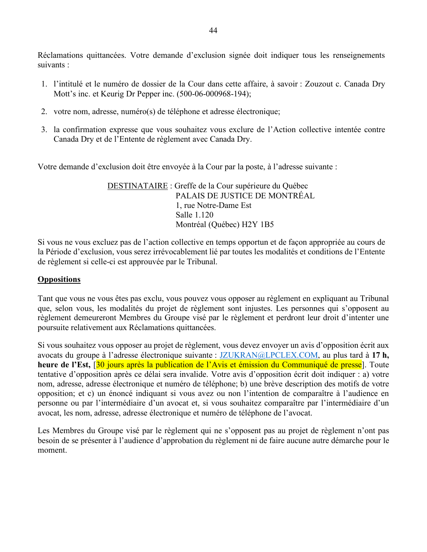Réclamations quittancées. Votre demande d'exclusion signée doit indiquer tous les renseignements suivants :

- 1. l'intitulé et le numéro de dossier de la Cour dans cette affaire, à savoir : Zouzout c. Canada Dry Mott's inc. et Keurig Dr Pepper inc. (500-06-000968-194);
- 2. votre nom, adresse, numéro(s) de téléphone et adresse électronique;
- 3. la confirmation expresse que vous souhaitez vous exclure de l'Action collective intentée contre Canada Dry et de l'Entente de règlement avec Canada Dry.

Votre demande d'exclusion doit être envoyée à la Cour par la poste, à l'adresse suivante :

DESTINATAIRE : Greffe de la Cour supérieure du Québec PALAIS DE JUSTICE DE MONTRÉAL 1, rue Notre-Dame Est Salle 1.120 Montréal (Québec) H2Y 1B5

Si vous ne vous excluez pas de l'action collective en temps opportun et de façon appropriée au cours de la Période d'exclusion, vous serez irrévocablement lié par toutes les modalités et conditions de l'Entente de règlement si celle-ci est approuvée par le Tribunal.

### **Oppositions**

Tant que vous ne vous êtes pas exclu, vous pouvez vous opposer au règlement en expliquant au Tribunal que, selon vous, les modalités du projet de règlement sont injustes. Les personnes qui s'opposent au règlement demeureront Membres du Groupe visé par le règlement et perdront leur droit d'intenter une poursuite relativement aux Réclamations quittancées.

Si vous souhaitez vous opposer au projet de règlement, vous devez envoyer un avis d'opposition écrit aux avocats du groupe à l'adresse électronique suivante : JZUKRAN@LPCLEX.COM, au plus tard à **17 h,**  heure de l'Est, <sup>[30</sup> jours après la publication de l'Avis et émission du Communiqué de presse<sup>]</sup>. Toute tentative d'opposition après ce délai sera invalide. Votre avis d'opposition écrit doit indiquer : a) votre nom, adresse, adresse électronique et numéro de téléphone; b) une brève description des motifs de votre opposition; et c) un énoncé indiquant si vous avez ou non l'intention de comparaître à l'audience en personne ou par l'intermédiaire d'un avocat et, si vous souhaitez comparaître par l'intermédiaire d'un avocat, les nom, adresse, adresse électronique et numéro de téléphone de l'avocat.

Les Membres du Groupe visé par le règlement qui ne s'opposent pas au projet de règlement n'ont pas besoin de se présenter à l'audience d'approbation du règlement ni de faire aucune autre démarche pour le moment.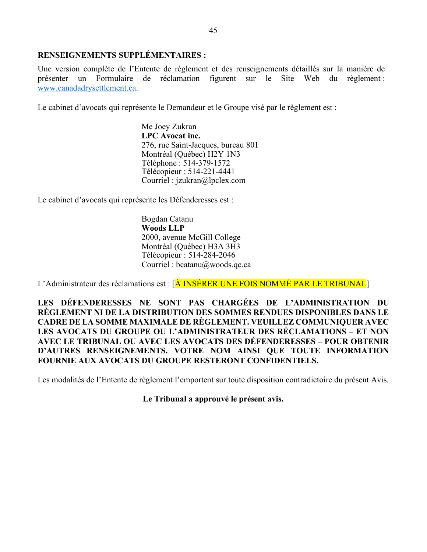### **RENSEIGNEMENTS SUPPLÉMENTAIRES :**

Une version complète de l'Entente de règlement et des renseignements détaillés sur la manière de présenter un Formulaire de réclamation figurent sur le Site Web du règlement : www.canadadrysettlement.ca.

Le cabinet d'avocats qui représente le Demandeur et le Groupe visé par le règlement est :

Me Joey Zukran **LPC Avocat inc.** 276, rue Saint-Jacques, bureau 801 Montréal (Québec) H2Y 1N3 Téléphone : 514-379-1572 Télécopieur : 514-221-4441 Courriel : jzukran@lpclex.com

Le cabinet d'avocats qui représente les Défenderesses est :

Bogdan Catanu **Woods LLP** 2000, avenue McGill College Montréal (Québec) H3A 3H3 Télécopieur : 514-284-2046 Courriel : bcatanu@woods.qc.ca

L'Administrateur des réclamations est : [A INSÉRER UNE FOIS NOMMÉ PAR LE TRIBUNAL]

**LES DÉFENDERESSES NE SONT PAS CHARGÉES DE L'ADMINISTRATION DU RÈGLEMENT NI DE LA DISTRIBUTION DES SOMMES RENDUES DISPONIBLES DANS LE CADRE DE LA SOMME MAXIMALE DE RÈGLEMENT. VEUILLEZ COMMUNIQUER AVEC LES AVOCATS DU GROUPE OU L'ADMINISTRATEUR DES RÉCLAMATIONS – ET NON AVEC LE TRIBUNAL OU AVEC LES AVOCATS DES DÉFENDERESSES – POUR OBTENIR D'AUTRES RENSEIGNEMENTS. VOTRE NOM AINSI QUE TOUTE INFORMATION FOURNIE AUX AVOCATS DU GROUPE RESTERONT CONFIDENTIELS.**

Les modalités de l'Entente de règlement l'emportent sur toute disposition contradictoire du présent Avis.

**Le Tribunal a approuvé le présent avis.**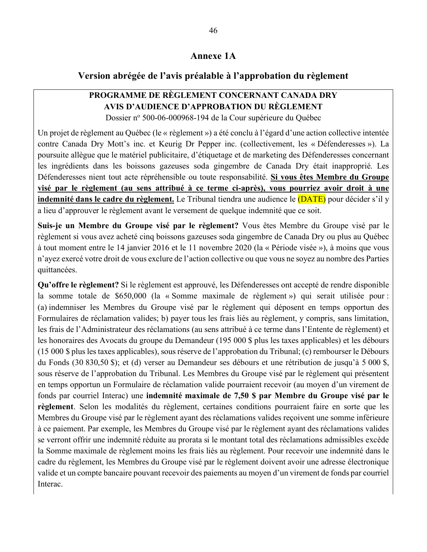#### **Annexe 1A**

#### **Version abrégée de l'avis préalable à l'approbation du règlement**

## **PROGRAMME DE RÈGLEMENT CONCERNANT CANADA DRY AVIS D'AUDIENCE D'APPROBATION DU RÈGLEMENT**

Dossier nº 500-06-000968-194 de la Cour supérieure du Québec

Un projet de règlement au Québec (le « règlement ») a été conclu à l'égard d'une action collective intentée contre Canada Dry Mott's inc. et Keurig Dr Pepper inc. (collectivement, les « Défenderesses »). La poursuite allègue que le matériel publicitaire, d'étiquetage et de marketing des Défenderesses concernant les ingrédients dans les boissons gazeuses soda gingembre de Canada Dry était inapproprié. Les Défenderesses nient tout acte répréhensible ou toute responsabilité. **Si vous êtes Membre du Groupe visé par le règlement (au sens attribué à ce terme ci-après), vous pourriez avoir droit à une indemnité dans le cadre du règlement.** Le Tribunal tiendra une audience le (DATE) pour décider s'il y a lieu d'approuver le règlement avant le versement de quelque indemnité que ce soit.

**Suis-je un Membre du Groupe visé par le règlement?** Vous êtes Membre du Groupe visé par le règlement si vous avez acheté cinq boissons gazeuses soda gingembre de Canada Dry ou plus au Québec à tout moment entre le 14 janvier 2016 et le 11 novembre 2020 (la « Période visée »), à moins que vous n'ayez exercé votre droit de vous exclure de l'action collective ou que vous ne soyez au nombre des Parties quittancées.

**Qu'offre le règlement?** Si le règlement est approuvé, les Défenderesses ont accepté de rendre disponible la somme totale de \$650,000 (la « Somme maximale de règlement ») qui serait utilisée pour : (a) indemniser les Membres du Groupe visé par le règlement qui déposent en temps opportun des Formulaires de réclamation valides; b) payer tous les frais liés au règlement, y compris, sans limitation, les frais de l'Administrateur des réclamations (au sens attribué à ce terme dans l'Entente de règlement) et les honoraires des Avocats du groupe du Demandeur (195 000 \$ plus les taxes applicables) et les débours (15 000 \$ plus les taxes applicables), sous réserve de l'approbation du Tribunal; (c) rembourser le Débours du Fonds (30 830,50 \$); et (d) verser au Demandeur ses débours et une rétribution de jusqu'à 5 000 \$, sous réserve de l'approbation du Tribunal. Les Membres du Groupe visé par le règlement qui présentent en temps opportun un Formulaire de réclamation valide pourraient recevoir (au moyen d'un virement de fonds par courriel Interac) une **indemnité maximale de 7,50 \$ par Membre du Groupe visé par le règlement**. Selon les modalités du règlement, certaines conditions pourraient faire en sorte que les Membres du Groupe visé par le règlement ayant des réclamations valides reçoivent une somme inférieure à ce paiement. Par exemple, les Membres du Groupe visé par le règlement ayant des réclamations valides se verront offrir une indemnité réduite au prorata si le montant total des réclamations admissibles excède la Somme maximale de règlement moins les frais liés au règlement. Pour recevoir une indemnité dans le cadre du règlement, les Membres du Groupe visé par le règlement doivent avoir une adresse électronique valide et un compte bancaire pouvant recevoir des paiements au moyen d'un virement de fonds par courriel Interac.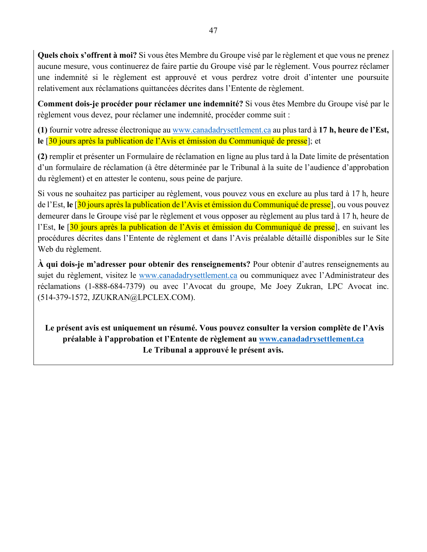**Quels choix s'offrent à moi?** Si vous êtes Membre du Groupe visé par le règlement et que vous ne prenez aucune mesure, vous continuerez de faire partie du Groupe visé par le règlement. Vous pourrez réclamer une indemnité si le règlement est approuvé et vous perdrez votre droit d'intenter une poursuite relativement aux réclamations quittancées décrites dans l'Entente de règlement.

**Comment dois-je procéder pour réclamer une indemnité?** Si vous êtes Membre du Groupe visé par le règlement vous devez, pour réclamer une indemnité, procéder comme suit :

**(1)** fournir votre adresse électronique au www.canadadrysettlement.ca au plus tard à **17 h, heure de l'Est,**  le <sup>[30</sup> jours après la publication de l'Avis et émission du Communiqué de presse]; et

**(2)** remplir et présenter un Formulaire de réclamation en ligne au plus tard à la Date limite de présentation d'un formulaire de réclamation (à être déterminée par le Tribunal à la suite de l'audience d'approbation du règlement) et en attester le contenu, sous peine de parjure.

Si vous ne souhaitez pas participer au règlement, vous pouvez vous en exclure au plus tard à 17 h, heure de l'Est, **le** [30 jours après la publication de l'Avis et émission du Communiqué de presse], ou vous pouvez demeurer dans le Groupe visé par le règlement et vous opposer au règlement au plus tard à 17 h, heure de l'Est, **le** [30 jours après la publication de l'Avis et émission du Communiqué de presse], en suivant les procédures décrites dans l'Entente de règlement et dans l'Avis préalable détaillé disponibles sur le Site Web du règlement.

**À qui dois-je m'adresser pour obtenir des renseignements?** Pour obtenir d'autres renseignements au sujet du règlement, visitez le www.canadadrysettlement.ca ou communiquez avec l'Administrateur des réclamations (1-888-684-7379) ou avec l'Avocat du groupe, Me Joey Zukran, LPC Avocat inc. (514-379-1572, JZUKRAN@LPCLEX.COM).

**Le présent avis est uniquement un résumé. Vous pouvez consulter la version complète de l'Avis préalable à l'approbation et l'Entente de règlement au www.canadadrysettlement.ca Le Tribunal a approuvé le présent avis.**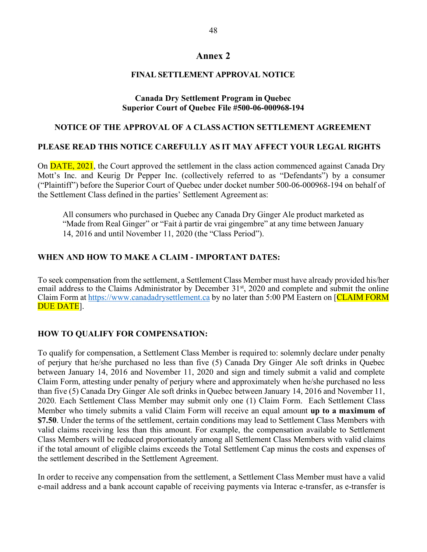### **Annex 2**

### **FINAL SETTLEMENT APPROVAL NOTICE**

### **Canada Dry Settlement Program in Quebec Superior Court of Quebec File #500-06-000968-194**

#### **NOTICE OF THE APPROVAL OF A CLASSACTION SETTLEMENT AGREEMENT**

#### **PLEASE READ THIS NOTICE CAREFULLY AS IT MAY AFFECT YOUR LEGAL RIGHTS**

On DATE, 2021, the Court approved the settlement in the class action commenced against Canada Dry Mott's Inc. and Keurig Dr Pepper Inc. (collectively referred to as "Defendants") by a consumer ("Plaintiff") before the Superior Court of Quebec under docket number 500-06-000968-194 on behalf of the Settlement Class defined in the parties' Settlement Agreement as:

All consumers who purchased in Quebec any Canada Dry Ginger Ale product marketed as "Made from Real Ginger" or "Fait à partir de vrai gingembre" at any time between January 14, 2016 and until November 11, 2020 (the "Class Period").

#### **WHEN AND HOW TO MAKE A CLAIM - IMPORTANT DATES:**

To seek compensation from the settlement, a Settlement Class Member must have already provided his/her email address to the Claims Administrator by December 31<sup>st</sup>, 2020 and complete and submit the online Claim Form at https://www.canadadrysettlement.ca by no later than 5:00 PM Eastern on [CLAIM FORM DUE DATE].

#### **HOW TO QUALIFY FOR COMPENSATION:**

To qualify for compensation, a Settlement Class Member is required to: solemnly declare under penalty of perjury that he/she purchased no less than five (5) Canada Dry Ginger Ale soft drinks in Quebec between January 14, 2016 and November 11, 2020 and sign and timely submit a valid and complete Claim Form, attesting under penalty of perjury where and approximately when he/she purchased no less than five (5) Canada Dry Ginger Ale soft drinks in Quebec between January 14, 2016 and November 11, 2020. Each Settlement Class Member may submit only one (1) Claim Form. Each Settlement Class Member who timely submits a valid Claim Form will receive an equal amount **up to a maximum of \$7.50**. Under the terms of the settlement, certain conditions may lead to Settlement Class Members with valid claims receiving less than this amount. For example, the compensation available to Settlement Class Members will be reduced proportionately among all Settlement Class Members with valid claims if the total amount of eligible claims exceeds the Total Settlement Cap minus the costs and expenses of the settlement described in the Settlement Agreement.

In order to receive any compensation from the settlement, a Settlement Class Member must have a valid e-mail address and a bank account capable of receiving payments via Interac e-transfer, as e-transfer is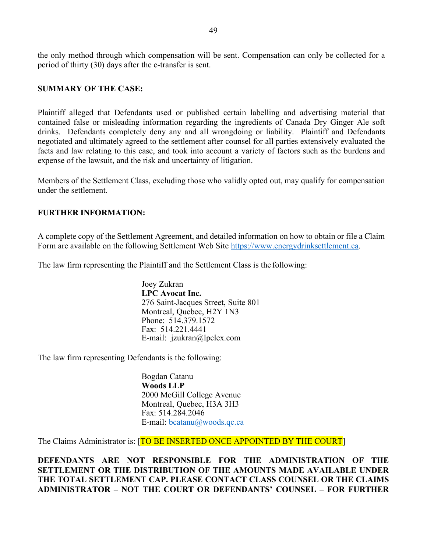the only method through which compensation will be sent. Compensation can only be collected for a period of thirty (30) days after the e-transfer is sent.

#### **SUMMARY OF THE CASE:**

Plaintiff alleged that Defendants used or published certain labelling and advertising material that contained false or misleading information regarding the ingredients of Canada Dry Ginger Ale soft drinks. Defendants completely deny any and all wrongdoing or liability. Plaintiff and Defendants negotiated and ultimately agreed to the settlement after counsel for all parties extensively evaluated the facts and law relating to this case, and took into account a variety of factors such as the burdens and expense of the lawsuit, and the risk and uncertainty of litigation.

Members of the Settlement Class, excluding those who validly opted out, may qualify for compensation under the settlement.

### **FURTHER INFORMATION:**

A complete copy of the Settlement Agreement, and detailed information on how to obtain or file a Claim Form are available on the following Settlement Web Site https://www.energydrinksettlement.ca.

The law firm representing the Plaintiff and the Settlement Class is the following:

Joey Zukran **LPC Avocat Inc.** 276 Saint-Jacques Street, Suite 801 Montreal, Quebec, H2Y 1N3 Phone: 514.379.1572 Fax: 514.221.4441 E-mail: jzukran@lpclex.com

The law firm representing Defendants is the following:

Bogdan Catanu **Woods LLP** 2000 McGill College Avenue Montreal, Quebec, H3A 3H3 Fax: 514.284.2046 E-mail: bcatanu@woods.qc.ca

The Claims Administrator is: [TO BE INSERTED ONCE APPOINTED BY THE COURT]

**DEFENDANTS ARE NOT RESPONSIBLE FOR THE ADMINISTRATION OF THE SETTLEMENT OR THE DISTRIBUTION OF THE AMOUNTS MADE AVAILABLE UNDER THE TOTAL SETTLEMENT CAP. PLEASE CONTACT CLASS COUNSEL OR THE CLAIMS ADMINISTRATOR – NOT THE COURT OR DEFENDANTS' COUNSEL – FOR FURTHER**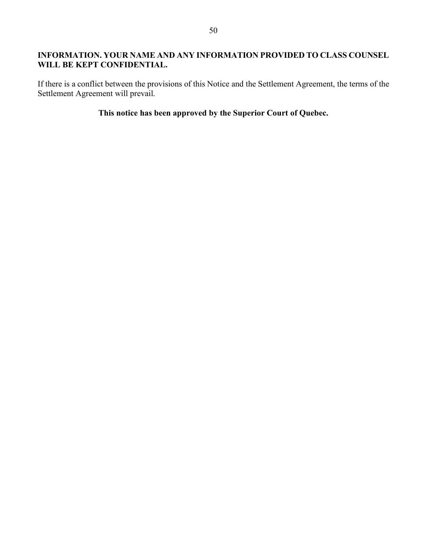### **INFORMATION. YOUR NAME AND ANY INFORMATION PROVIDED TO CLASS COUNSEL WILL BE KEPT CONFIDENTIAL.**

If there is a conflict between the provisions of this Notice and the Settlement Agreement, the terms of the Settlement Agreement will prevail.

### **This notice has been approved by the Superior Court of Quebec.**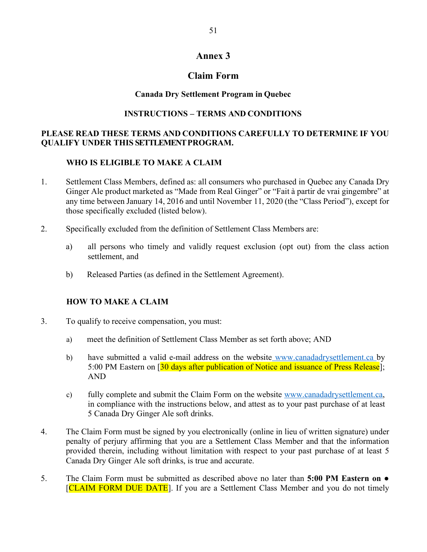### **Annex 3**

### **Claim Form**

### **Canada Dry Settlement Program in Quebec**

### **INSTRUCTIONS – TERMS AND CONDITIONS**

### **PLEASE READ THESE TERMS AND CONDITIONS CAREFULLY TO DETERMINE IF YOU QUALIFY UNDER THIS SETTLEMENT PROGRAM.**

#### **WHO IS ELIGIBLE TO MAKE A CLAIM**

- 1. Settlement Class Members, defined as: all consumers who purchased in Quebec any Canada Dry Ginger Ale product marketed as "Made from Real Ginger" or "Fait à partir de vrai gingembre" at any time between January 14, 2016 and until November 11, 2020 (the "Class Period"), except for those specifically excluded (listed below).
- 2. Specifically excluded from the definition of Settlement Class Members are:
	- a) all persons who timely and validly request exclusion (opt out) from the class action settlement, and
	- b) Released Parties (as defined in the Settlement Agreement).

#### **HOW TO MAKE A CLAIM**

- 3. To qualify to receive compensation, you must:
	- a) meet the definition of Settlement Class Member as set forth above; AND
	- b) have submitted a valid e-mail address on the website www.canadadrysettlement.ca by 5:00 PM Eastern on [30 days after publication of Notice and issuance of Press Release]; AND
	- c) fully complete and submit the Claim Form on the website www.canadadrysettlement.ca, in compliance with the instructions below, and attest as to your past purchase of at least 5 Canada Dry Ginger Ale soft drinks.
- 4. The Claim Form must be signed by you electronically (online in lieu of written signature) under penalty of perjury affirming that you are a Settlement Class Member and that the information provided therein, including without limitation with respect to your past purchase of at least 5 Canada Dry Ginger Ale soft drinks, is true and accurate.
- 5. The Claim Form must be submitted as described above no later than **5:00 PM Eastern on**  [CLAIM FORM DUE DATE]. If you are a Settlement Class Member and you do not timely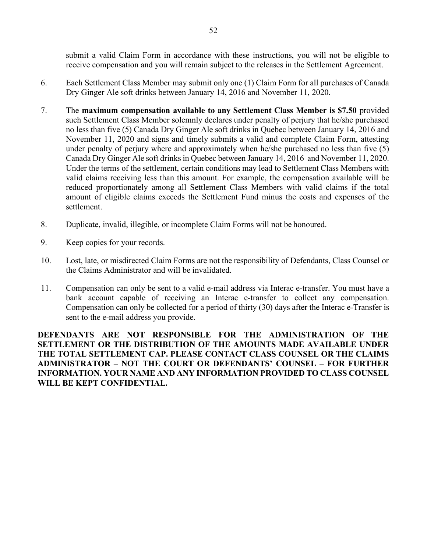submit a valid Claim Form in accordance with these instructions, you will not be eligible to receive compensation and you will remain subject to the releases in the Settlement Agreement.

- 6. Each Settlement Class Member may submit only one (1) Claim Form for all purchases of Canada Dry Ginger Ale soft drinks between January 14, 2016 and November 11, 2020.
- 7. The **maximum compensation available to any Settlement Class Member is \$7.50** provided such Settlement Class Member solemnly declares under penalty of perjury that he/she purchased no less than five (5) Canada Dry Ginger Ale soft drinks in Quebec between January 14, 2016 and November 11, 2020 and signs and timely submits a valid and complete Claim Form, attesting under penalty of perjury where and approximately when he/she purchased no less than five (5) Canada Dry Ginger Ale soft drinks in Quebec between January 14, 2016 and November 11, 2020. Under the terms of the settlement, certain conditions may lead to Settlement Class Members with valid claims receiving less than this amount. For example, the compensation available will be reduced proportionately among all Settlement Class Members with valid claims if the total amount of eligible claims exceeds the Settlement Fund minus the costs and expenses of the settlement.
- 8. Duplicate, invalid, illegible, or incomplete Claim Forms will not be honoured.
- 9. Keep copies for your records.
- 10. Lost, late, or misdirected Claim Forms are not the responsibility of Defendants, Class Counsel or the Claims Administrator and will be invalidated.
- 11. Compensation can only be sent to a valid e-mail address via Interac e-transfer. You must have a bank account capable of receiving an Interac e-transfer to collect any compensation. Compensation can only be collected for a period of thirty (30) days after the Interac e-Transfer is sent to the e-mail address you provide.

**DEFENDANTS ARE NOT RESPONSIBLE FOR THE ADMINISTRATION OF THE SETTLEMENT OR THE DISTRIBUTION OF THE AMOUNTS MADE AVAILABLE UNDER THE TOTAL SETTLEMENT CAP. PLEASE CONTACT CLASS COUNSEL OR THE CLAIMS ADMINISTRATOR – NOT THE COURT OR DEFENDANTS' COUNSEL – FOR FURTHER INFORMATION. YOUR NAME AND ANY INFORMATION PROVIDED TO CLASS COUNSEL WILL BE KEPT CONFIDENTIAL.**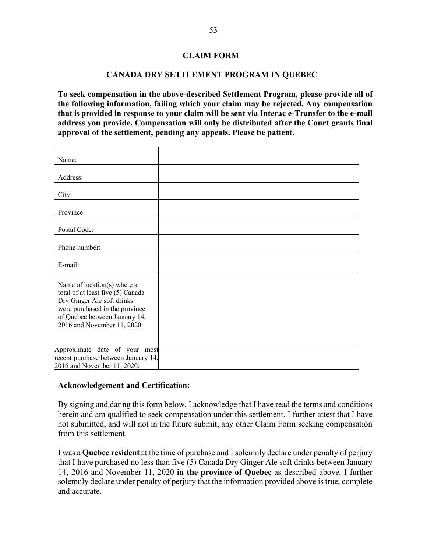### **CLAIM FORM**

#### **CANADA DRY SETTLEMENT PROGRAM IN QUEBEC**

**To seek compensation in the above-described Settlement Program, please provide all of the following information, failing which your claim may be rejected. Any compensation that is provided in response to your claim will be sent via Interac e-Transfer to the e-mail address you provide. Compensation will only be distributed after the Court grants final approval of the settlement, pending any appeals. Please be patient.**

| Name:                                                                                                                                                                                            |  |
|--------------------------------------------------------------------------------------------------------------------------------------------------------------------------------------------------|--|
| Address:                                                                                                                                                                                         |  |
| City:                                                                                                                                                                                            |  |
| Province:                                                                                                                                                                                        |  |
| Postal Code:                                                                                                                                                                                     |  |
| Phone number:                                                                                                                                                                                    |  |
| E-mail:                                                                                                                                                                                          |  |
| Name of location(s) where a<br>total of at least five (5) Canada<br>Dry Ginger Ale soft drinks<br>were purchased in the province<br>of Quebec between January 14,<br>2016 and November 11, 2020: |  |
| Approximate date of your most<br>recent purchase between January 14,<br>2016 and November 11, 2020:                                                                                              |  |

#### **Acknowledgement and Certification:**

By signing and dating this form below, I acknowledge that I have read the terms and conditions herein and am qualified to seek compensation under this settlement. I further attest that I have not submitted, and will not in the future submit, any other Claim Form seeking compensation from this settlement.

I was a **Quebec resident** at the time of purchase and I solemnly declare under penalty of perjury that I have purchased no less than five (5) Canada Dry Ginger Ale soft drinks between January 14, 2016 and November 11, 2020 **in the province of Quebec** as described above. I further solemnly declare under penalty of perjury that the information provided above is true, complete and accurate.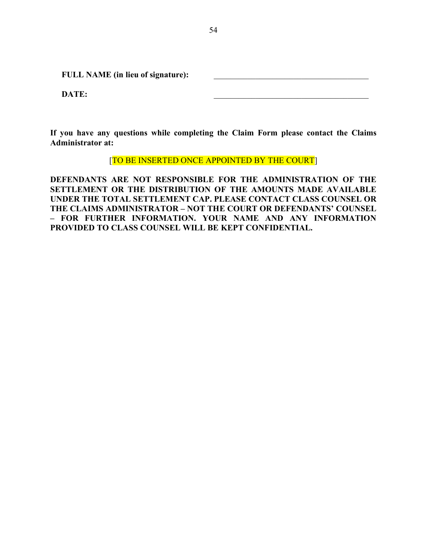FULL NAME (in lieu of signature):

**DATE:**  $\blacksquare$ 

**If you have any questions while completing the Claim Form please contact the Claims Administrator at:**

[TO BE INSERTED ONCE APPOINTED BY THE COURT]

**DEFENDANTS ARE NOT RESPONSIBLE FOR THE ADMINISTRATION OF THE SETTLEMENT OR THE DISTRIBUTION OF THE AMOUNTS MADE AVAILABLE UNDER THE TOTAL SETTLEMENT CAP. PLEASE CONTACT CLASS COUNSEL OR THE CLAIMS ADMINISTRATOR – NOT THE COURT OR DEFENDANTS' COUNSEL – FOR FURTHER INFORMATION. YOUR NAME AND ANY INFORMATION PROVIDED TO CLASS COUNSEL WILL BE KEPT CONFIDENTIAL.**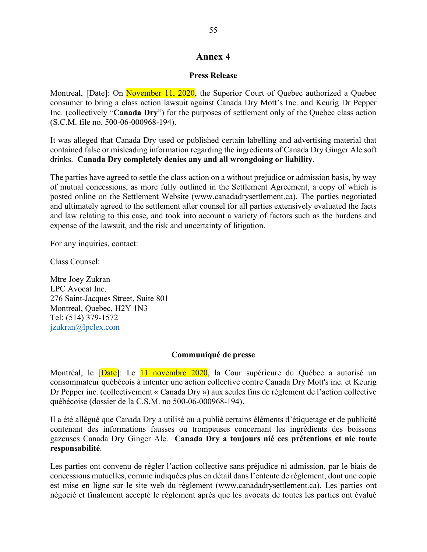### **Annex 4**

#### **Press Release**

Montreal, [Date]: On November 11, 2020, the Superior Court of Quebec authorized a Quebec consumer to bring a class action lawsuit against Canada Dry Mott's Inc. and Keurig Dr Pepper Inc. (collectively "**Canada Dry**") for the purposes of settlement only of the Quebec class action (S.C.M. file no. 500-06-000968-194).

It was alleged that Canada Dry used or published certain labelling and advertising material that contained false or misleading information regarding the ingredients of Canada Dry Ginger Ale soft drinks. **Canada Dry completely denies any and all wrongdoing or liability**.

The parties have agreed to settle the class action on a without prejudice or admission basis, by way of mutual concessions, as more fully outlined in the Settlement Agreement, a copy of which is posted online on the Settlement Website (www.canadadrysettlement.ca). The parties negotiated and ultimately agreed to the settlement after counsel for all parties extensively evaluated the facts and law relating to this case, and took into account a variety of factors such as the burdens and expense of the lawsuit, and the risk and uncertainty of litigation.

For any inquiries, contact:

Class Counsel:

Mtre Joey Zukran LPC Avocat Inc. 276 Saint-Jacques Street, Suite 801 Montreal, Quebec, H2Y 1N3 Tel: (514) 379-1572 jzukran@lpclex.com

#### **Communiqué de presse**

Montréal, le *[Date]*: Le 11 novembre 2020, la Cour supérieure du Québec a autorisé un consommateur québécois à intenter une action collective contre Canada Dry Mott's inc. et Keurig Dr Pepper inc. (collectivement « Canada Dry ») aux seules fins de règlement de l'action collective québécoise (dossier de la C.S.M. no 500-06-000968-194).

Il a été allégué que Canada Dry a utilisé ou a publié certains éléments d'étiquetage et de publicité contenant des informations fausses ou trompeuses concernant les ingrédients des boissons gazeuses Canada Dry Ginger Ale. **Canada Dry a toujours nié ces prétentions et nie toute responsabilité**.

Les parties ont convenu de régler l'action collective sans préjudice ni admission, par le biais de concessions mutuelles, comme indiquées plus en détail dans l'entente de règlement, dont une copie est mise en ligne sur le site web du règlement (www.canadadrysettlement.ca). Les parties ont négocié et finalement accepté le règlement après que les avocats de toutes les parties ont évalué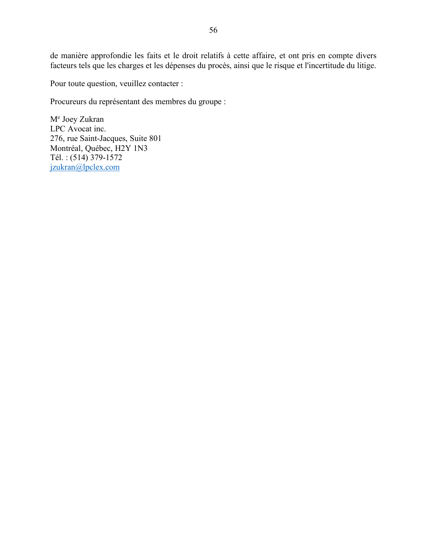de manière approfondie les faits et le droit relatifs à cette affaire, et ont pris en compte divers facteurs tels que les charges et les dépenses du procès, ainsi que le risque et l'incertitude du litige.

Pour toute question, veuillez contacter :

Procureurs du représentant des membres du groupe :

Me Joey Zukran LPC Avocat inc. 276, rue Saint-Jacques, Suite 801 Montréal, Québec, H2Y 1N3 Tél. : (514) 379-1572 jzukran@lpclex.com